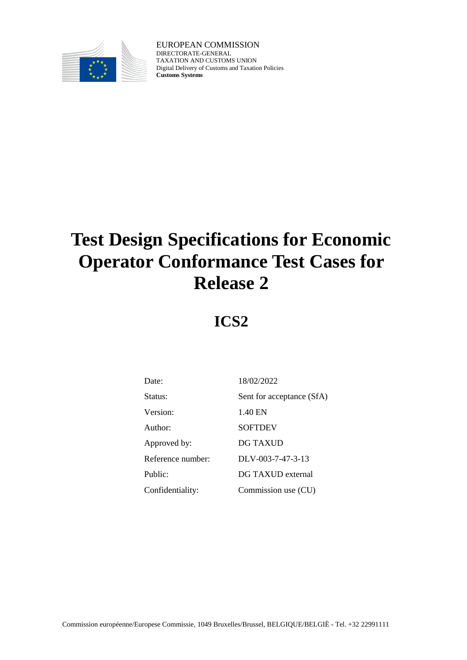

EUROPEAN COMMISSION DIRECTORATE-GENERAL TAXATION AND CUSTOMS UNION Digital Delivery of Customs and Taxation Policies **Customs Systems**

# **Test Design Specifications for Economic Operator Conformance Test Cases for Release 2**

**ICS2**

| Date:             | 18/02/2022                |
|-------------------|---------------------------|
| Status:           | Sent for acceptance (SfA) |
| Version:          | 1.40 EN                   |
| Author:           | <b>SOFTDEV</b>            |
| Approved by:      | DG TAXUD                  |
| Reference number: | $DLV-003-7-47-3-13$       |
| Public:           | DG TAXUD external         |
| Confidentiality:  | Commission use (CU)       |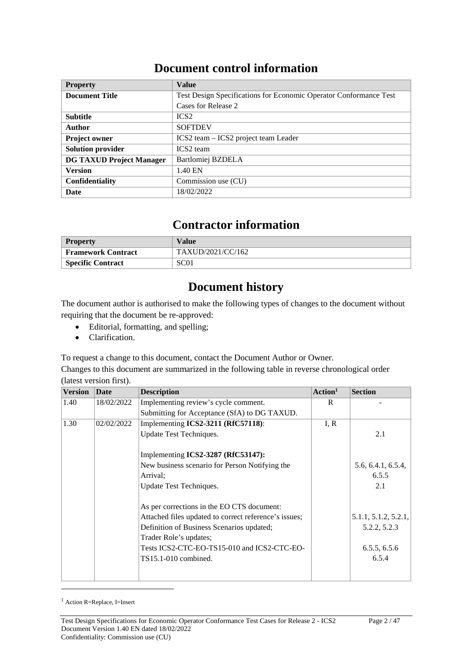### **Document control information**

| <b>Property</b>                 | <b>Value</b>                                                      |
|---------------------------------|-------------------------------------------------------------------|
| <b>Document Title</b>           | Test Design Specifications for Economic Operator Conformance Test |
|                                 | Cases for Release 2                                               |
| <b>Subtitle</b>                 | ICS <sub>2</sub>                                                  |
| Author                          | <b>SOFTDEV</b>                                                    |
| <b>Project owner</b>            | ICS2 team – ICS2 project team Leader                              |
| <b>Solution provider</b>        | ICS <sub>2</sub> team                                             |
| <b>DG TAXUD Project Manager</b> | Bartlomiej BZDELA                                                 |
| <b>Version</b>                  | 1.40 EN                                                           |
| <b>Confidentiality</b>          | Commission use (CU)                                               |
| <b>Date</b>                     | 18/02/2022                                                        |

### **Contractor information**

| <b>Property</b>          | Value             |
|--------------------------|-------------------|
| Framework Contract       | TAXUD/2021/CC/162 |
| <b>Specific Contract</b> | SC <sub>01</sub>  |

### **Document history**

The document author is authorised to make the following types of changes to the document without requiring that the document be re-approved:

- Editorial, formatting, and spelling;
- Clarification.

To request a change to this document, contact the Document Author or Owner.

Changes to this document are summarized in the following table in reverse chronological order (latest version first).

| <b>Version</b> | <b>Date</b> | <b>Description</b>                                    | Action <sup>1</sup> | <b>Section</b>       |
|----------------|-------------|-------------------------------------------------------|---------------------|----------------------|
| 1.40           | 18/02/2022  | Implementing review's cycle comment.                  | R                   |                      |
|                |             | Submitting for Acceptance (SfA) to DG TAXUD.          |                     |                      |
| 1.30           | 02/02/2022  | Implementing ICS2-3211 (RfC57118):                    | I, R                |                      |
|                |             | Update Test Techniques.                               |                     | 2.1                  |
|                |             | Implementing ICS2-3287 (RfC53147):                    |                     |                      |
|                |             | New business scenario for Person Notifying the        |                     | 5.6, 6.4.1, 6.5.4,   |
|                |             | Arrival:                                              |                     | 6.5.5                |
|                |             | Update Test Techniques.                               |                     | 2.1                  |
|                |             | As per corrections in the EO CTS document:            |                     |                      |
|                |             | Attached files updated to correct reference's issues; |                     | 5.1.1, 5.1.2, 5.2.1, |
|                |             | Definition of Business Scenarios updated;             |                     | 5.2.2, 5.2.3         |
|                |             | Trader Role's updates;                                |                     |                      |
|                |             | Tests ICS2-CTC-EO-TS15-010 and ICS2-CTC-EO-           |                     | 6.5.5, 6.5.6         |
|                |             | $TS15.1-010$ combined.                                |                     | 6.5.4                |
|                |             |                                                       |                     |                      |

<sup>1</sup> Action R=Replace, I=Insert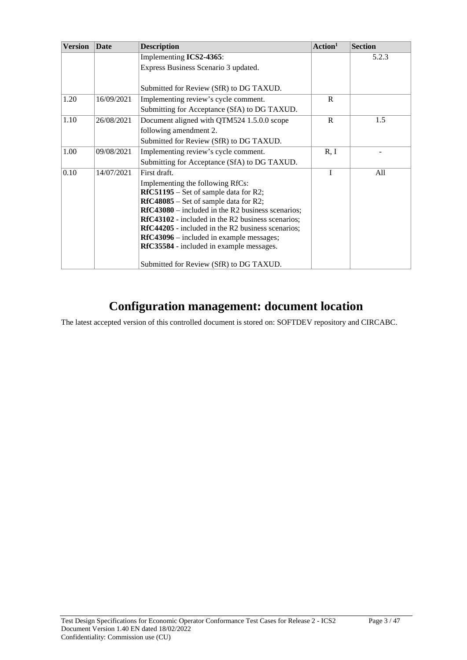| <b>Version</b><br><b>Description</b><br><b>Date</b> |            |                                                          | Action <sup>1</sup> | <b>Section</b> |
|-----------------------------------------------------|------------|----------------------------------------------------------|---------------------|----------------|
|                                                     |            | Implementing ICS2-4365:                                  |                     | 5.2.3          |
|                                                     |            | Express Business Scenario 3 updated.                     |                     |                |
|                                                     |            |                                                          |                     |                |
|                                                     |            | Submitted for Review (SfR) to DG TAXUD.                  |                     |                |
| 1.20                                                | 16/09/2021 | Implementing review's cycle comment.                     | R                   |                |
|                                                     |            | Submitting for Acceptance (SfA) to DG TAXUD.             |                     |                |
| 1.10                                                | 26/08/2021 | Document aligned with QTM524 1.5.0.0 scope               | $\mathsf{R}$        | 1.5            |
|                                                     |            | following amendment 2.                                   |                     |                |
|                                                     |            | Submitted for Review (SfR) to DG TAXUD.                  |                     |                |
| 1.00                                                | 09/08/2021 | Implementing review's cycle comment.                     | R, I                |                |
|                                                     |            | Submitting for Acceptance (SfA) to DG TAXUD.             |                     |                |
| 0.10                                                | 14/07/2021 | First draft.                                             | T                   | All            |
|                                                     |            | Implementing the following RfCs:                         |                     |                |
|                                                     |            | $RfC51195$ – Set of sample data for R2;                  |                     |                |
|                                                     |            | $RfC48085$ – Set of sample data for R2;                  |                     |                |
|                                                     |            | $RfC43080$ – included in the R2 business scenarios;      |                     |                |
|                                                     |            | RfC43102 - included in the R2 business scenarios;        |                     |                |
|                                                     |            | <b>RfC44205</b> - included in the R2 business scenarios; |                     |                |
|                                                     |            | <b>RfC43096</b> – included in example messages;          |                     |                |
|                                                     |            | RfC35584 - included in example messages.                 |                     |                |
|                                                     |            | Submitted for Review (SfR) to DG TAXUD.                  |                     |                |

# **Configuration management: document location**

The latest accepted version of this controlled document is stored on: SOFTDEV repository and CIRCABC.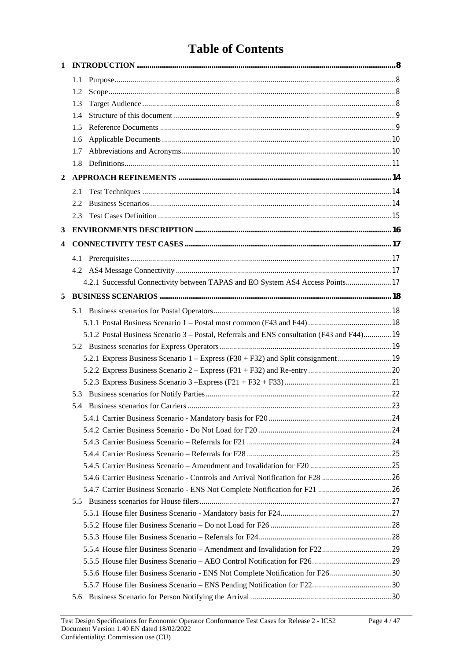# **Table of Contents**

| 1              |                                                                                            |  |
|----------------|--------------------------------------------------------------------------------------------|--|
|                | 1.1                                                                                        |  |
|                | 1.2                                                                                        |  |
|                | 1.3                                                                                        |  |
|                | 1.4                                                                                        |  |
|                | 1.5                                                                                        |  |
|                | 1.6                                                                                        |  |
|                | 1.7                                                                                        |  |
|                | 1.8                                                                                        |  |
| $\overline{2}$ |                                                                                            |  |
|                | 2.1                                                                                        |  |
|                | 2.2.                                                                                       |  |
|                | 2.3                                                                                        |  |
| 3              |                                                                                            |  |
| 4              |                                                                                            |  |
|                | 4.1                                                                                        |  |
|                |                                                                                            |  |
|                | 4.2.1 Successful Connectivity between TAPAS and EO System AS4 Access Points 17             |  |
| 5              |                                                                                            |  |
|                |                                                                                            |  |
|                |                                                                                            |  |
|                | 5.1.2 Postal Business Scenario 3 – Postal, Referrals and ENS consultation (F43 and F44) 19 |  |
|                |                                                                                            |  |
|                |                                                                                            |  |
|                |                                                                                            |  |
|                |                                                                                            |  |
|                |                                                                                            |  |
|                |                                                                                            |  |
|                |                                                                                            |  |
|                |                                                                                            |  |
|                |                                                                                            |  |
|                |                                                                                            |  |
|                |                                                                                            |  |
|                |                                                                                            |  |
|                |                                                                                            |  |
|                |                                                                                            |  |
|                |                                                                                            |  |
|                |                                                                                            |  |
|                |                                                                                            |  |
|                |                                                                                            |  |
|                |                                                                                            |  |
|                | 5.5.6 House filer Business Scenario - ENS Not Complete Notification for F2630              |  |
|                |                                                                                            |  |
|                | 5.6                                                                                        |  |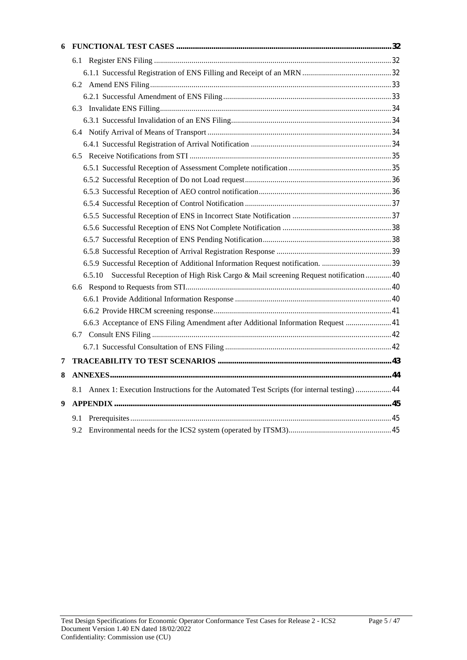| 6 |                                                                                              |  |
|---|----------------------------------------------------------------------------------------------|--|
|   |                                                                                              |  |
|   |                                                                                              |  |
|   |                                                                                              |  |
|   |                                                                                              |  |
|   |                                                                                              |  |
|   |                                                                                              |  |
|   |                                                                                              |  |
|   |                                                                                              |  |
|   |                                                                                              |  |
|   |                                                                                              |  |
|   |                                                                                              |  |
|   |                                                                                              |  |
|   |                                                                                              |  |
|   |                                                                                              |  |
|   |                                                                                              |  |
|   |                                                                                              |  |
|   |                                                                                              |  |
|   |                                                                                              |  |
|   | Successful Reception of High Risk Cargo & Mail screening Request notification  40<br>6.5.10  |  |
|   |                                                                                              |  |
|   |                                                                                              |  |
|   |                                                                                              |  |
|   | 6.6.3 Acceptance of ENS Filing Amendment after Additional Information Request  41            |  |
|   |                                                                                              |  |
|   |                                                                                              |  |
| 7 |                                                                                              |  |
| 8 |                                                                                              |  |
|   | 8.1 Annex 1: Execution Instructions for the Automated Test Scripts (for internal testing) 44 |  |
| 9 |                                                                                              |  |
|   | 9.1                                                                                          |  |
|   | 9.2                                                                                          |  |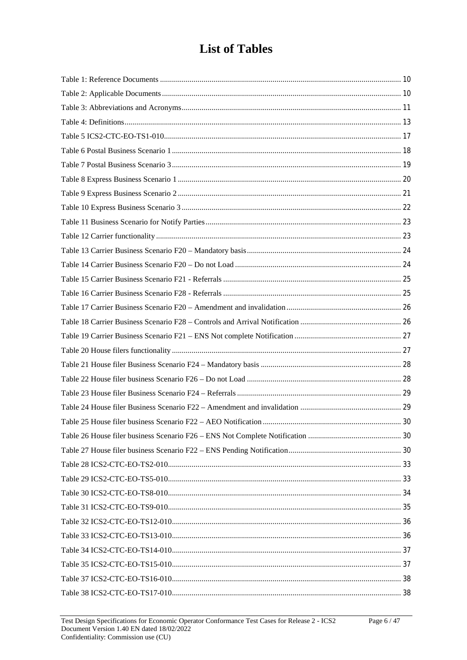# **List of Tables**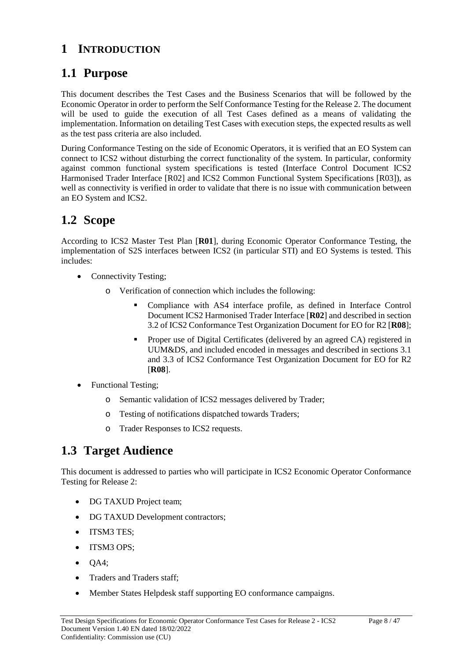### **1 INTRODUCTION**

### **1.1 Purpose**

This document describes the Test Cases and the Business Scenarios that will be followed by the Economic Operator in order to perform the Self Conformance Testing for the Release 2. The document will be used to guide the execution of all Test Cases defined as a means of validating the implementation. Information on detailing Test Cases with execution steps, the expected results as well as the test pass criteria are also included.

During Conformance Testing on the side of Economic Operators, it is verified that an EO System can connect to ICS2 without disturbing the correct functionality of the system. In particular, conformity against common functional system specifications is tested (Interface Control Document ICS2 Harmonised Trader Interface [R02] and ICS2 Common Functional System Specifications [R03]), as well as connectivity is verified in order to validate that there is no issue with communication between an EO System and ICS2.

# **1.2 Scope**

According to ICS2 Master Test Plan [**R01**], during Economic Operator Conformance Testing, the implementation of S2S interfaces between ICS2 (in particular STI) and EO Systems is tested. This includes:

- Connectivity Testing;
	- o Verification of connection which includes the following:
		- Compliance with AS4 interface profile, as defined in Interface Control Document ICS2 Harmonised Trader Interface [**R02**] and described in section 3.2 of ICS2 Conformance Test Organization Document for EO for R2 [**R08**];
		- **Proper use of Digital Certificates (delivered by an agreed CA) registered in** UUM&DS, and included encoded in messages and described in sections 3.1 and 3.3 of ICS2 Conformance Test Organization Document for EO for R2 [**R08**].
- Functional Testing;
	- o Semantic validation of ICS2 messages delivered by Trader;
	- o Testing of notifications dispatched towards Traders;
	- o Trader Responses to ICS2 requests.

### **1.3 Target Audience**

This document is addressed to parties who will participate in ICS2 Economic Operator Conformance Testing for Release 2:

- DG TAXUD Project team;
- DG TAXUD Development contractors;
- ITSM3 TES;
- ITSM3 OPS;
- $\bullet$  QA4;
- Traders and Traders staff;
- Member States Helpdesk staff supporting EO conformance campaigns.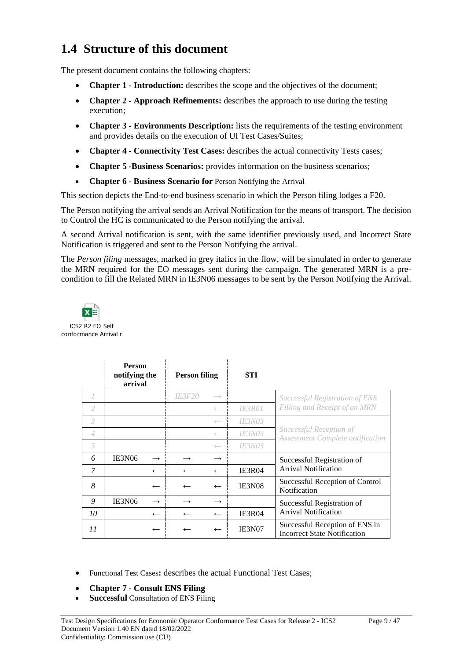### **1.4 Structure of this document**

The present document contains the following chapters:

- **Chapter 1 - Introduction:** describes the scope and the objectives of the document;
- **Chapter 2 - Approach Refinements:** describes the approach to use during the testing execution;
- **Chapter 3 - Environments Description:** lists the requirements of the testing environment and provides details on the execution of UI Test Cases/Suites;
- **Chapter 4 - Connectivity Test Cases:** describes the actual connectivity Tests cases;
- **Chapter 5 -Business Scenarios:** provides information on the business scenarios;
- **Chapter 6 - Business Scenario for** Person Notifying the Arrival

This section depicts the End-to-end business scenario in which the Person filing lodges a F20.

The Person notifying the arrival sends an Arrival Notification for the means of transport. The decision to Control the HC is communicated to the Person notifying the arrival.

A second Arrival notification is sent, with the same identifier previously used, and Incorrect State Notification is triggered and sent to the Person Notifying the arrival.

The *Person filing* messages, marked in grey italics in the flow, will be simulated in order to generate the MRN required for the EO messages sent during the campaign. The generated MRN is a precondition to fill the Related MRN in IE3N06 messages to be sent by the Person Notifying the Arrival.



|                | <b>Person</b><br>notifying the<br>arrival |               | <b>Person filing</b> |                   | STI                  |                                                                       |
|----------------|-------------------------------------------|---------------|----------------------|-------------------|----------------------|-----------------------------------------------------------------------|
|                |                                           |               | <i><b>IE3F20</b></i> | $\longrightarrow$ |                      | Successful Registration of ENS                                        |
| 2              |                                           |               |                      | $\longleftarrow$  | <i><b>IE3R01</b></i> | Filling and Receipt of an MRN                                         |
| 3              |                                           |               |                      | $\leftarrow$      | <i><b>IE3N03</b></i> |                                                                       |
| $\overline{4}$ |                                           |               |                      | $\longleftarrow$  | <b>IE3N03</b>        | Successful Reception of<br><b>Assessment Complete notification</b>    |
| 5              |                                           |               |                      | $\leftarrow$      | <i><b>IE3N03</b></i> |                                                                       |
| 6              | IE3N06                                    | $\rightarrow$ |                      | $\rightarrow$     |                      | Successful Registration of                                            |
| 7              |                                           | $\leftarrow$  | $\leftarrow$         | $\leftarrow$      | <b>IE3R04</b>        | <b>Arrival Notification</b>                                           |
| 8              |                                           | $\leftarrow$  | $\leftarrow$         | $\leftarrow$      | IE3N08               | Successful Reception of Control<br>Notification                       |
| 9              | IE3N06                                    | $\rightarrow$ |                      | $\rightarrow$     |                      | Successful Registration of                                            |
| 10             |                                           | $\leftarrow$  | $\leftarrow$         | $\leftarrow$      | <b>IE3R04</b>        | <b>Arrival Notification</b>                                           |
| 11             |                                           | $\leftarrow$  |                      |                   | IE3N07               | Successful Reception of ENS in<br><b>Incorrect State Notification</b> |

- Functional Test Cases**:** describes the actual Functional Test Cases;
- **Chapter 7 - Consult ENS Filing**
- **Successful** Consultation of ENS Filing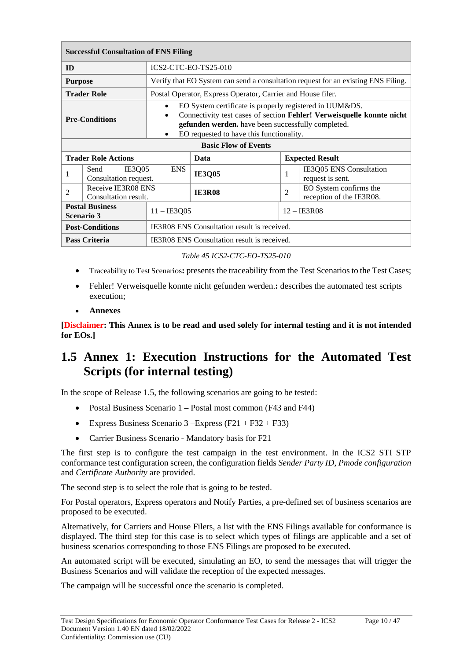| <b>Successful Consultation of ENS Filing</b>                          |                                                    |                                                                                                                                                                                                                                    |  |                                                                                   |  |
|-----------------------------------------------------------------------|----------------------------------------------------|------------------------------------------------------------------------------------------------------------------------------------------------------------------------------------------------------------------------------------|--|-----------------------------------------------------------------------------------|--|
| ID                                                                    |                                                    | ICS2-CTC-EO-TS25-010                                                                                                                                                                                                               |  |                                                                                   |  |
| <b>Purpose</b>                                                        |                                                    |                                                                                                                                                                                                                                    |  | Verify that EO System can send a consultation request for an existing ENS Filing. |  |
| <b>Trader Role</b>                                                    |                                                    | Postal Operator, Express Operator, Carrier and House filer.                                                                                                                                                                        |  |                                                                                   |  |
| $\bullet$<br>$\bullet$<br><b>Pre-Conditions</b><br>٠                  |                                                    | EO System certificate is properly registered in UUM&DS.<br>Connectivity test cases of section Fehler! Verweisquelle konnte nicht<br>gefunden werden. have been successfully completed.<br>EO requested to have this functionality. |  |                                                                                   |  |
|                                                                       |                                                    | <b>Basic Flow of Events</b>                                                                                                                                                                                                        |  |                                                                                   |  |
| <b>Trader Role Actions</b>                                            |                                                    | Data                                                                                                                                                                                                                               |  | <b>Expected Result</b>                                                            |  |
| IE3Q05<br>Send<br>1<br>Consultation request.                          | <b>ENS</b>                                         | <b>IE3Q05</b>                                                                                                                                                                                                                      |  | IE3Q05 ENS Consultation<br>1<br>request is sent.                                  |  |
| Receive IE3R08 ENS<br>$\overline{2}$<br>Consultation result.          |                                                    | <b>IE3R08</b>                                                                                                                                                                                                                      |  | EO System confirms the<br>$\overline{2}$<br>reception of the IE3R08.              |  |
| <b>Postal Business</b><br>$11 -$ IE3Q05<br><b>Scenario 3</b>          |                                                    | $12 - \text{IE}3\text{R}08$                                                                                                                                                                                                        |  |                                                                                   |  |
| IE3R08 ENS Consultation result is received.<br><b>Post-Conditions</b> |                                                    |                                                                                                                                                                                                                                    |  |                                                                                   |  |
| <b>Pass Criteria</b>                                                  | <b>IE3R08 ENS</b> Consultation result is received. |                                                                                                                                                                                                                                    |  |                                                                                   |  |

*Table 45 ICS2-CTC-EO-TS25-010*

- Traceability to Test Scenarios**:** presents the traceability from the Test Scenarios to the Test Cases;
- Fehler! Verweisquelle konnte nicht gefunden werden.**:** describes the automated test scripts execution;
- **Annexes**

**[Disclaimer: This Annex is to be read and used solely for internal testing and it is not intended for EOs.]**

### **1.5 Annex 1: Execution Instructions for the Automated Test Scripts (for internal testing)**

In the scope of Release 1.5, the following scenarios are going to be tested:

- Postal Business Scenario 1 Postal most common (F43 and F44)
- Express Business Scenario 3 –Express (F21 + F32 + F33)
- Carrier Business Scenario Mandatory basis for F21

The first step is to configure the test campaign in the test environment. In the ICS2 STI STP conformance test configuration screen, the configuration fields *Sender Party ID*, *Pmode configuration* and *Certificate Authority* are provided.

The second step is to select the role that is going to be tested.

For Postal operators, Express operators and Notify Parties, a pre-defined set of business scenarios are proposed to be executed.

Alternatively, for Carriers and House Filers, a list with the ENS Filings available for conformance is displayed. The third step for this case is to select which types of filings are applicable and a set of business scenarios corresponding to those ENS Filings are proposed to be executed.

An automated script will be executed, simulating an EO, to send the messages that will trigger the Business Scenarios and will validate the reception of the expected messages.

The campaign will be successful once the scenario is completed.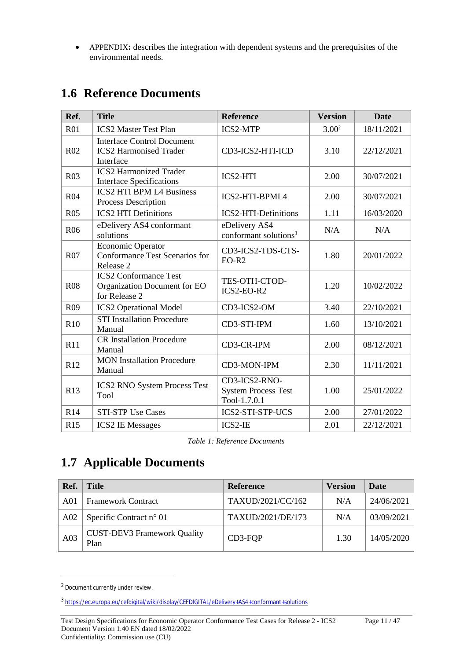APPENDIX**:** describes the integration with dependent systems and the prerequisites of the environmental needs.

| Ref.            | <b>Title</b>                                                                    | <b>Reference</b>                                            | <b>Version</b>    | <b>Date</b> |
|-----------------|---------------------------------------------------------------------------------|-------------------------------------------------------------|-------------------|-------------|
| R <sub>01</sub> | <b>ICS2 Master Test Plan</b>                                                    | <b>ICS2-MTP</b>                                             | 3.00 <sup>2</sup> | 18/11/2021  |
| R <sub>02</sub> | <b>Interface Control Document</b><br><b>ICS2 Harmonised Trader</b><br>Interface | CD3-ICS2-HTI-ICD                                            | 3.10              | 22/12/2021  |
| <b>R03</b>      | <b>ICS2 Harmonized Trader</b><br><b>Interface Specifications</b>                | <b>ICS2-HTI</b>                                             | 2.00              | 30/07/2021  |
| <b>R04</b>      | <b>ICS2 HTI BPM L4 Business</b><br>Process Description                          | ICS2-HTI-BPML4                                              | 2.00              | 30/07/2021  |
| <b>R05</b>      | <b>ICS2 HTI Definitions</b>                                                     | ICS2-HTI-Definitions                                        | 1.11              | 16/03/2020  |
| R <sub>06</sub> | eDelivery AS4 conformant<br>solutions                                           | eDelivery AS4<br>conformant solutions <sup>3</sup>          | N/A               | N/A         |
| <b>R07</b>      | Economic Operator<br>Conformance Test Scenarios for<br>Release 2                | CD3-ICS2-TDS-CTS-<br>$EO-R2$                                | 1.80              | 20/01/2022  |
| <b>R08</b>      | <b>ICS2 Conformance Test</b><br>Organization Document for EO<br>for Release 2   | TES-OTH-CTOD-<br>ICS2-EO-R2                                 | 1.20              | 10/02/2022  |
| R <sub>09</sub> | <b>ICS2 Operational Model</b>                                                   | CD3-ICS2-OM                                                 | 3.40              | 22/10/2021  |
| R10             | <b>STI Installation Procedure</b><br>Manual                                     | CD3-STI-IPM                                                 | 1.60              | 13/10/2021  |
| R11             | <b>CR Installation Procedure</b><br>Manual                                      | CD3-CR-IPM                                                  | 2.00              | 08/12/2021  |
| R12             | <b>MON</b> Installation Procedure<br>Manual                                     | CD3-MON-IPM                                                 | 2.30              | 11/11/2021  |
| R13             | <b>ICS2 RNO System Process Test</b><br>Tool                                     | CD3-ICS2-RNO-<br><b>System Process Test</b><br>Tool-1.7.0.1 | 1.00              | 25/01/2022  |
| R14             | <b>STI-STP Use Cases</b>                                                        | <b>ICS2-STI-STP-UCS</b>                                     | 2.00              | 27/01/2022  |
| R15             | <b>ICS2 IE Messages</b>                                                         | ICS2-IE                                                     | 2.01              | 22/12/2021  |

### **1.6 Reference Documents**

*Table 1: Reference Documents*

# **1.7 Applicable Documents**

| Ref. | <b>Title</b>                               | <b>Reference</b>  | <b>Version</b> | Date       |
|------|--------------------------------------------|-------------------|----------------|------------|
| A01  | <b>Framework Contract</b>                  | TAXUD/2021/CC/162 | N/A            | 24/06/2021 |
| A02  | Specific Contract $n^{\circ}$ 01           | TAXUD/2021/DE/173 | N/A            | 03/09/2021 |
| A03  | <b>CUST-DEV3 Framework Quality</b><br>Plan | CD3-FQP           | 1.30           | 14/05/2020 |

<sup>2</sup> Document currently under review.

<sup>3</sup> <https://ec.europa.eu/cefdigital/wiki/display/CEFDIGITAL/eDelivery+AS4+conformant+solutions>

Test Design Specifications for Economic Operator Conformance Test Cases for Release 2 - ICS2 Page 11 / 47 Document Version 1.40 EN dated 18/02/2022 Confidentiality: Commission use (CU)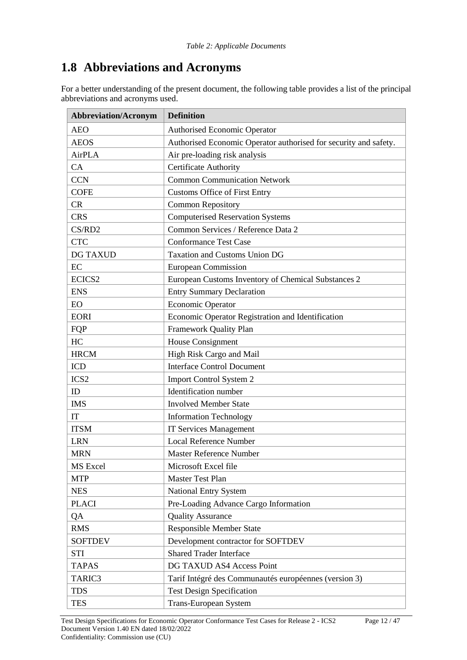# **1.8 Abbreviations and Acronyms**

For a better understanding of the present document, the following table provides a list of the principal abbreviations and acronyms used.

| <b>Abbreviation/Acronym</b><br><b>Definition</b> |                                                                  |  |
|--------------------------------------------------|------------------------------------------------------------------|--|
| <b>AEO</b>                                       | <b>Authorised Economic Operator</b>                              |  |
| <b>AEOS</b>                                      | Authorised Economic Operator authorised for security and safety. |  |
| <b>AirPLA</b>                                    | Air pre-loading risk analysis                                    |  |
| CA                                               | Certificate Authority                                            |  |
| <b>CCN</b>                                       | <b>Common Communication Network</b>                              |  |
| <b>COFE</b>                                      | <b>Customs Office of First Entry</b>                             |  |
| <b>CR</b>                                        | <b>Common Repository</b>                                         |  |
| <b>CRS</b>                                       | <b>Computerised Reservation Systems</b>                          |  |
| CS/RD2                                           | Common Services / Reference Data 2                               |  |
| <b>CTC</b>                                       | <b>Conformance Test Case</b>                                     |  |
| <b>DG TAXUD</b>                                  | <b>Taxation and Customs Union DG</b>                             |  |
| EC                                               | <b>European Commission</b>                                       |  |
| ECICS <sub>2</sub>                               | European Customs Inventory of Chemical Substances 2              |  |
| <b>ENS</b>                                       | <b>Entry Summary Declaration</b>                                 |  |
| <b>EO</b>                                        | <b>Economic Operator</b>                                         |  |
| <b>EORI</b>                                      | Economic Operator Registration and Identification                |  |
| FQP                                              | Framework Quality Plan                                           |  |
| HC                                               | House Consignment                                                |  |
| <b>HRCM</b>                                      | High Risk Cargo and Mail                                         |  |
| <b>ICD</b>                                       | <b>Interface Control Document</b>                                |  |
| ICS <sub>2</sub>                                 | Import Control System 2                                          |  |
| ID                                               | <b>Identification</b> number                                     |  |
| <b>IMS</b>                                       | <b>Involved Member State</b>                                     |  |
| IT                                               | <b>Information Technology</b>                                    |  |
| <b>ITSM</b>                                      | <b>IT Services Management</b>                                    |  |
| <b>LRN</b>                                       | <b>Local Reference Number</b>                                    |  |
| <b>MRN</b>                                       | <b>Master Reference Number</b>                                   |  |
| <b>MS</b> Excel                                  | Microsoft Excel file                                             |  |
| <b>MTP</b>                                       | <b>Master Test Plan</b>                                          |  |
| <b>NES</b>                                       | <b>National Entry System</b>                                     |  |
| <b>PLACI</b>                                     | Pre-Loading Advance Cargo Information                            |  |
| QA                                               | <b>Quality Assurance</b>                                         |  |
| <b>RMS</b>                                       | <b>Responsible Member State</b>                                  |  |
| <b>SOFTDEV</b>                                   | Development contractor for SOFTDEV                               |  |
| <b>STI</b>                                       | <b>Shared Trader Interface</b>                                   |  |
| <b>TAPAS</b>                                     | DG TAXUD AS4 Access Point                                        |  |
| TARIC3                                           | Tarif Intégré des Communautés européennes (version 3)            |  |
| <b>TDS</b>                                       | <b>Test Design Specification</b>                                 |  |
| <b>TES</b>                                       | Trans-European System                                            |  |

Test Design Specifications for Economic Operator Conformance Test Cases for Release 2 - ICS2 Page 12 / 47 Document Version 1.40 EN dated 18/02/2022 Confidentiality: Commission use (CU)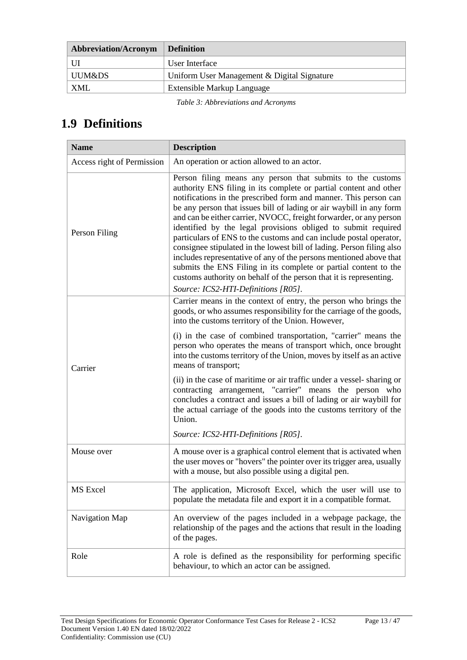| <b>Abbreviation/Acronym</b> | <b>Definition</b>                           |
|-----------------------------|---------------------------------------------|
|                             | User Interface                              |
| UUM&DS                      | Uniform User Management & Digital Signature |
| XMI.                        | Extensible Markup Language                  |

*Table 3: Abbreviations and Acronyms*

# **1.9 Definitions**

| <b>Name</b>                | <b>Description</b>                                                                                                                                                                                                                                                                                                                                                                                                                                                                                                                                                                                                                                                                                                                                                                                                      |  |  |  |
|----------------------------|-------------------------------------------------------------------------------------------------------------------------------------------------------------------------------------------------------------------------------------------------------------------------------------------------------------------------------------------------------------------------------------------------------------------------------------------------------------------------------------------------------------------------------------------------------------------------------------------------------------------------------------------------------------------------------------------------------------------------------------------------------------------------------------------------------------------------|--|--|--|
| Access right of Permission | An operation or action allowed to an actor.                                                                                                                                                                                                                                                                                                                                                                                                                                                                                                                                                                                                                                                                                                                                                                             |  |  |  |
| Person Filing              | Person filing means any person that submits to the customs<br>authority ENS filing in its complete or partial content and other<br>notifications in the prescribed form and manner. This person can<br>be any person that issues bill of lading or air waybill in any form<br>and can be either carrier, NVOCC, freight forwarder, or any person<br>identified by the legal provisions obliged to submit required<br>particulars of ENS to the customs and can include postal operator,<br>consignee stipulated in the lowest bill of lading. Person filing also<br>includes representative of any of the persons mentioned above that<br>submits the ENS Filing in its complete or partial content to the<br>customs authority on behalf of the person that it is representing.<br>Source: ICS2-HTI-Definitions [R05]. |  |  |  |
|                            | Carrier means in the context of entry, the person who brings the<br>goods, or who assumes responsibility for the carriage of the goods,<br>into the customs territory of the Union. However,<br>(i) in the case of combined transportation, "carrier" means the                                                                                                                                                                                                                                                                                                                                                                                                                                                                                                                                                         |  |  |  |
| Carrier                    | person who operates the means of transport which, once brought<br>into the customs territory of the Union, moves by itself as an active<br>means of transport;                                                                                                                                                                                                                                                                                                                                                                                                                                                                                                                                                                                                                                                          |  |  |  |
|                            | (ii) in the case of maritime or air traffic under a vessel-sharing or<br>contracting arrangement, "carrier" means the person who<br>concludes a contract and issues a bill of lading or air waybill for<br>the actual carriage of the goods into the customs territory of the<br>Union.                                                                                                                                                                                                                                                                                                                                                                                                                                                                                                                                 |  |  |  |
|                            | Source: ICS2-HTI-Definitions [R05].                                                                                                                                                                                                                                                                                                                                                                                                                                                                                                                                                                                                                                                                                                                                                                                     |  |  |  |
| Mouse over                 | A mouse over is a graphical control element that is activated when<br>the user moves or "hovers" the pointer over its trigger area, usually<br>with a mouse, but also possible using a digital pen.                                                                                                                                                                                                                                                                                                                                                                                                                                                                                                                                                                                                                     |  |  |  |
| MS Excel                   | The application, Microsoft Excel, which the user will use to<br>populate the metadata file and export it in a compatible format.                                                                                                                                                                                                                                                                                                                                                                                                                                                                                                                                                                                                                                                                                        |  |  |  |
| Navigation Map             | An overview of the pages included in a webpage package, the<br>relationship of the pages and the actions that result in the loading<br>of the pages.                                                                                                                                                                                                                                                                                                                                                                                                                                                                                                                                                                                                                                                                    |  |  |  |
| Role                       | A role is defined as the responsibility for performing specific<br>behaviour, to which an actor can be assigned.                                                                                                                                                                                                                                                                                                                                                                                                                                                                                                                                                                                                                                                                                                        |  |  |  |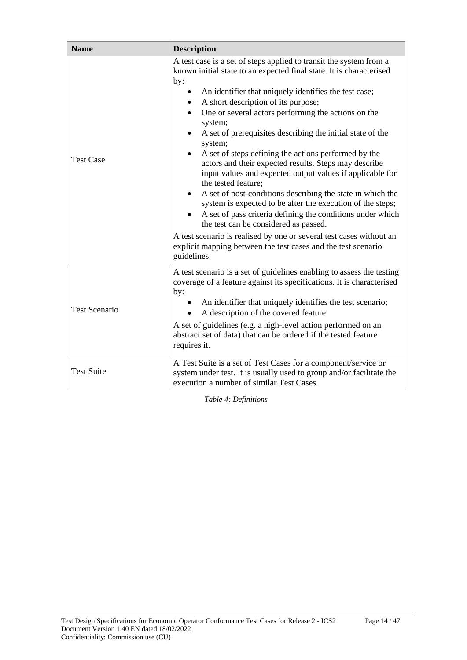| <b>Name</b>          | <b>Description</b>                                                                                                                                                                                                                           |  |  |  |
|----------------------|----------------------------------------------------------------------------------------------------------------------------------------------------------------------------------------------------------------------------------------------|--|--|--|
|                      | A test case is a set of steps applied to transit the system from a<br>known initial state to an expected final state. It is characterised<br>by:                                                                                             |  |  |  |
|                      | An identifier that uniquely identifies the test case;<br>A short description of its purpose;<br>One or several actors performing the actions on the<br>system;                                                                               |  |  |  |
|                      | A set of prerequisites describing the initial state of the<br>system;                                                                                                                                                                        |  |  |  |
| <b>Test Case</b>     | A set of steps defining the actions performed by the<br>actors and their expected results. Steps may describe<br>input values and expected output values if applicable for<br>the tested feature;                                            |  |  |  |
|                      | A set of post-conditions describing the state in which the<br>$\bullet$<br>system is expected to be after the execution of the steps;<br>A set of pass criteria defining the conditions under which<br>the test can be considered as passed. |  |  |  |
|                      | A test scenario is realised by one or several test cases without an<br>explicit mapping between the test cases and the test scenario<br>guidelines.                                                                                          |  |  |  |
|                      | A test scenario is a set of guidelines enabling to assess the testing<br>coverage of a feature against its specifications. It is characterised<br>by:                                                                                        |  |  |  |
| <b>Test Scenario</b> | • An identifier that uniquely identifies the test scenario;<br>A description of the covered feature.                                                                                                                                         |  |  |  |
|                      | A set of guidelines (e.g. a high-level action performed on an<br>abstract set of data) that can be ordered if the tested feature<br>requires it.                                                                                             |  |  |  |
| <b>Test Suite</b>    | A Test Suite is a set of Test Cases for a component/service or<br>system under test. It is usually used to group and/or facilitate the<br>execution a number of similar Test Cases.                                                          |  |  |  |

*Table 4: Definitions*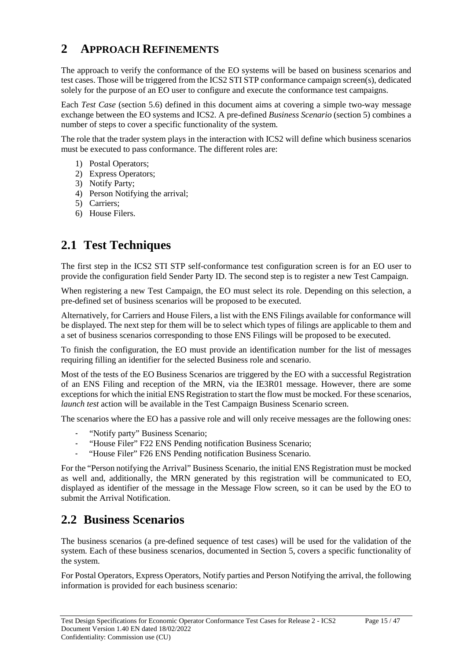### **2 APPROACH REFINEMENTS**

The approach to verify the conformance of the EO systems will be based on business scenarios and test cases. Those will be triggered from the ICS2 STI STP conformance campaign screen(s), dedicated solely for the purpose of an EO user to configure and execute the conformance test campaigns.

Each *Test Case* (section 5.6) defined in this document aims at covering a simple two-way message exchange between the EO systems and ICS2. A pre-defined *Business Scenario* (section 5) combines a number of steps to cover a specific functionality of the system.

The role that the trader system plays in the interaction with ICS2 will define which business scenarios must be executed to pass conformance. The different roles are:

- 1) Postal Operators;
- 2) Express Operators;
- 3) Notify Party;
- 4) Person Notifying the arrival;
- 5) Carriers;
- 6) House Filers.

# **2.1 Test Techniques**

The first step in the ICS2 STI STP self-conformance test configuration screen is for an EO user to provide the configuration field Sender Party ID. The second step is to register a new Test Campaign.

When registering a new Test Campaign, the EO must select its role. Depending on this selection, a pre-defined set of business scenarios will be proposed to be executed.

Alternatively, for Carriers and House Filers, a list with the ENS Filings available for conformance will be displayed. The next step for them will be to select which types of filings are applicable to them and a set of business scenarios corresponding to those ENS Filings will be proposed to be executed.

To finish the configuration, the EO must provide an identification number for the list of messages requiring filling an identifier for the selected Business role and scenario.

Most of the tests of the EO Business Scenarios are triggered by the EO with a successful Registration of an ENS Filing and reception of the MRN, via the IE3R01 message. However, there are some exceptions for which the initial ENS Registration to start the flow must be mocked. For these scenarios, *launch test* action will be available in the Test Campaign Business Scenario screen.

The scenarios where the EO has a passive role and will only receive messages are the following ones:

- "Notify party" Business Scenario;
- "House Filer" F22 ENS Pending notification Business Scenario;
- "House Filer" F26 ENS Pending notification Business Scenario.

For the "Person notifying the Arrival" Business Scenario, the initial ENS Registration must be mocked as well and, additionally, the MRN generated by this registration will be communicated to EO, displayed as identifier of the message in the Message Flow screen, so it can be used by the EO to submit the Arrival Notification.

### **2.2 Business Scenarios**

The business scenarios (a pre-defined sequence of test cases) will be used for the validation of the system. Each of these business scenarios, documented in Section 5, covers a specific functionality of the system.

For Postal Operators, Express Operators, Notify parties and Person Notifying the arrival, the following information is provided for each business scenario: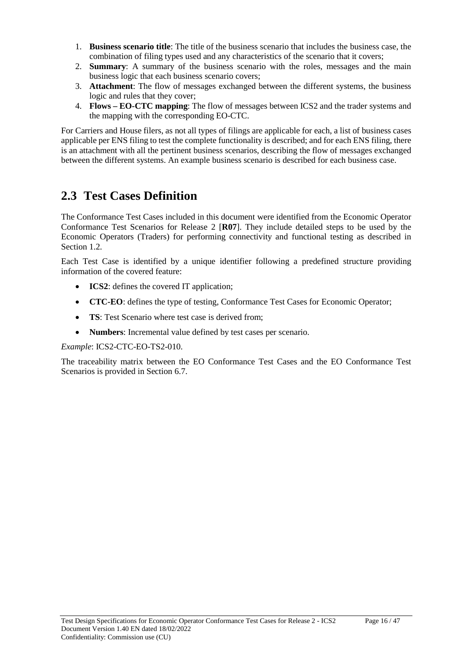- 1. **Business scenario title**: The title of the business scenario that includes the business case, the combination of filing types used and any characteristics of the scenario that it covers;
- 2. **Summary**: A summary of the business scenario with the roles, messages and the main business logic that each business scenario covers;
- 3. **Attachment**: The flow of messages exchanged between the different systems, the business logic and rules that they cover;
- 4. **Flows – EO-CTC mapping**: The flow of messages between ICS2 and the trader systems and the mapping with the corresponding EO-CTC.

For Carriers and House filers, as not all types of filings are applicable for each, a list of business cases applicable per ENS filing to test the complete functionality is described; and for each ENS filing, there is an attachment with all the pertinent business scenarios, describing the flow of messages exchanged between the different systems. An example business scenario is described for each business case.

# **2.3 Test Cases Definition**

The Conformance Test Cases included in this document were identified from the Economic Operator Conformance Test Scenarios for Release 2 [**R07**]. They include detailed steps to be used by the Economic Operators (Traders) for performing connectivity and functional testing as described in Section 1.2.

Each Test Case is identified by a unique identifier following a predefined structure providing information of the covered feature:

- **ICS2**: defines the covered IT application;
- **CTC-EO**: defines the type of testing, Conformance Test Cases for Economic Operator;
- **TS**: Test Scenario where test case is derived from;
- **Numbers**: Incremental value defined by test cases per scenario.

*Example*: ICS2-CTC-EO-TS2-010.

The traceability matrix between the EO Conformance Test Cases and the EO Conformance Test Scenarios is provided in Section 6.7.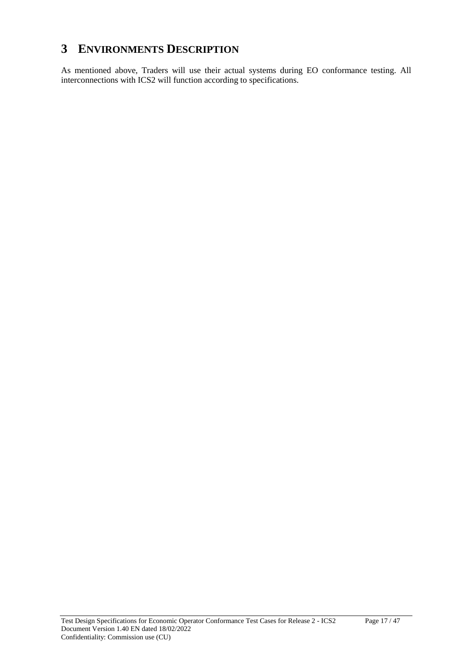### **3 ENVIRONMENTS DESCRIPTION**

As mentioned above, Traders will use their actual systems during EO conformance testing. All interconnections with ICS2 will function according to specifications.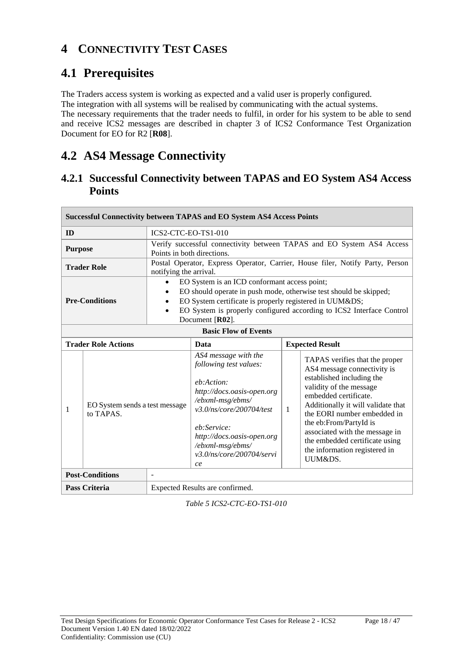### **4 CONNECTIVITY TEST CASES**

# **4.1 Prerequisites**

The Traders access system is working as expected and a valid user is properly configured.

The integration with all systems will be realised by communicating with the actual systems.

The necessary requirements that the trader needs to fulfil, in order for his system to be able to send and receive ICS2 messages are described in chapter 3 of ICS2 Conformance Test Organization Document for EO for R2 [**R08**].

# **4.2 AS4 Message Connectivity**

### **4.2.1 Successful Connectivity between TAPAS and EO System AS4 Access Points**

| <b>Successful Connectivity between TAPAS and EO System AS4 Access Points</b> |                                             |                                 |                                                                                                                                                                                                                                                                        |   |                                                                                                                                                                                                                                                                                                                                                               |  |
|------------------------------------------------------------------------------|---------------------------------------------|---------------------------------|------------------------------------------------------------------------------------------------------------------------------------------------------------------------------------------------------------------------------------------------------------------------|---|---------------------------------------------------------------------------------------------------------------------------------------------------------------------------------------------------------------------------------------------------------------------------------------------------------------------------------------------------------------|--|
| ID                                                                           |                                             | ICS2-CTC-EO-TS1-010             |                                                                                                                                                                                                                                                                        |   |                                                                                                                                                                                                                                                                                                                                                               |  |
| <b>Purpose</b>                                                               |                                             | Points in both directions.      |                                                                                                                                                                                                                                                                        |   | Verify successful connectivity between TAPAS and EO System AS4 Access                                                                                                                                                                                                                                                                                         |  |
|                                                                              | <b>Trader Role</b>                          | notifying the arrival.          |                                                                                                                                                                                                                                                                        |   | Postal Operator, Express Operator, Carrier, House filer, Notify Party, Person                                                                                                                                                                                                                                                                                 |  |
| <b>Pre-Conditions</b><br>$\bullet$                                           |                                             |                                 | EO System is an ICD conformant access point;<br>EO should operate in push mode, otherwise test should be skipped;<br>EO System certificate is properly registered in UUM&DS<br>EO System is properly configured according to ICS2 Interface Control<br>Document [R02]. |   |                                                                                                                                                                                                                                                                                                                                                               |  |
| <b>Basic Flow of Events</b>                                                  |                                             |                                 |                                                                                                                                                                                                                                                                        |   |                                                                                                                                                                                                                                                                                                                                                               |  |
|                                                                              | <b>Trader Role Actions</b>                  |                                 | Data                                                                                                                                                                                                                                                                   |   | <b>Expected Result</b>                                                                                                                                                                                                                                                                                                                                        |  |
| 1                                                                            | EO System sends a test message<br>to TAPAS. |                                 | AS4 message with the<br>following test values:<br>eb:Action:<br>http://docs.oasis-open.org<br>/ebxml-msg/ebms/<br>v3.0/ns/core/200704/test<br>eb:Service:<br>http://docs.oasis-open.org<br>/ebxml-msg/ebms/<br>v3.0/ns/core/200704/servi<br>ce                         | 1 | TAPAS verifies that the proper<br>AS4 message connectivity is<br>established including the<br>validity of the message<br>embedded certificate.<br>Additionally it will validate that<br>the EORI number embedded in<br>the eb:From/PartyId is<br>associated with the message in<br>the embedded certificate using<br>the information registered in<br>UUM&DS. |  |
|                                                                              | <b>Post-Conditions</b>                      |                                 |                                                                                                                                                                                                                                                                        |   |                                                                                                                                                                                                                                                                                                                                                               |  |
| <b>Pass Criteria</b>                                                         |                                             | Expected Results are confirmed. |                                                                                                                                                                                                                                                                        |   |                                                                                                                                                                                                                                                                                                                                                               |  |

*Table 5 ICS2-CTC-EO-TS1-010*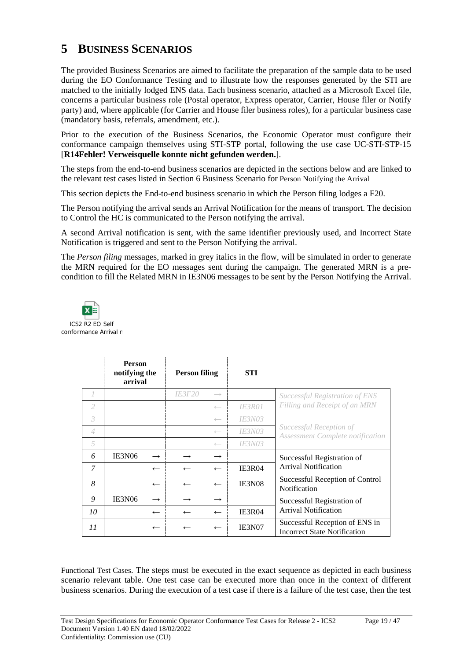### **5 BUSINESS SCENARIOS**

The provided Business Scenarios are aimed to facilitate the preparation of the sample data to be used during the EO Conformance Testing and to illustrate how the responses generated by the STI are matched to the initially lodged ENS data. Each business scenario, attached as a Microsoft Excel file, concerns a particular business role (Postal operator, Express operator, Carrier, House filer or Notify party) and, where applicable (for Carrier and House filer business roles), for a particular business case (mandatory basis, referrals, amendment, etc.).

Prior to the execution of the Business Scenarios, the Economic Operator must configure their conformance campaign themselves using STI-STP portal, following the use case UC-STI-STP-15 [**R14Fehler! Verweisquelle konnte nicht gefunden werden.**].

The steps from the end-to-end business scenarios are depicted in the sections below and are linked to the relevant test cases listed in Section 6 Business Scenario for Person Notifying the Arrival

This section depicts the End-to-end business scenario in which the Person filing lodges a F20.

The Person notifying the arrival sends an Arrival Notification for the means of transport. The decision to Control the HC is communicated to the Person notifying the arrival.

A second Arrival notification is sent, with the same identifier previously used, and Incorrect State Notification is triggered and sent to the Person Notifying the arrival.

The *Person filing* messages, marked in grey italics in the flow, will be simulated in order to generate the MRN required for the EO messages sent during the campaign. The generated MRN is a precondition to fill the Related MRN in IE3N06 messages to be sent by the Person Notifying the Arrival.



|                | <b>Person</b><br>notifying the<br>arrival |                          | <b>Person filing</b> |                          | <b>STI</b>    |                                                                       |
|----------------|-------------------------------------------|--------------------------|----------------------|--------------------------|---------------|-----------------------------------------------------------------------|
|                |                                           |                          | <i><b>IE3F20</b></i> | $\longrightarrow$        |               | <i>Successful Registration of ENS</i>                                 |
| 2              |                                           |                          |                      | $\longleftarrow$         | <b>IE3R01</b> | Filling and Receipt of an MRN                                         |
| 3              |                                           |                          |                      | $\leftarrow$             | <i>IE3N03</i> |                                                                       |
| $\overline{4}$ |                                           |                          |                      | $\longleftarrow$         | <i>IE3N03</i> | Successful Reception of<br>Assessment Complete notification           |
| 5              |                                           |                          |                      | $\longleftarrow$         | <i>IE3N03</i> |                                                                       |
| 6              | IE3N06                                    | $\rightarrow$            |                      | $\rightarrow$            |               | Successful Registration of                                            |
| 7              |                                           | $\overline{\phantom{m}}$ | $\leftarrow$         | $\leftarrow$             | IE3R04        | <b>Arrival Notification</b>                                           |
| 8              |                                           | $\leftarrow$             |                      | $\leftarrow$             | IE3N08        | Successful Reception of Control<br>Notification                       |
| 9              | IE3N06                                    | $\rightarrow$            |                      | $\rightarrow$            |               | Successful Registration of                                            |
| 10             |                                           | $\leftarrow$             | $\leftarrow$         | $\leftarrow$             | <b>IE3R04</b> | <b>Arrival Notification</b>                                           |
| 11             |                                           | $\leftarrow$             |                      | $\overline{\phantom{m}}$ | <b>IE3N07</b> | Successful Reception of ENS in<br><b>Incorrect State Notification</b> |

Functional Test Cases. The steps must be executed in the exact sequence as depicted in each business scenario relevant table. One test case can be executed more than once in the context of different business scenarios. During the execution of a test case if there is a failure of the test case, then the test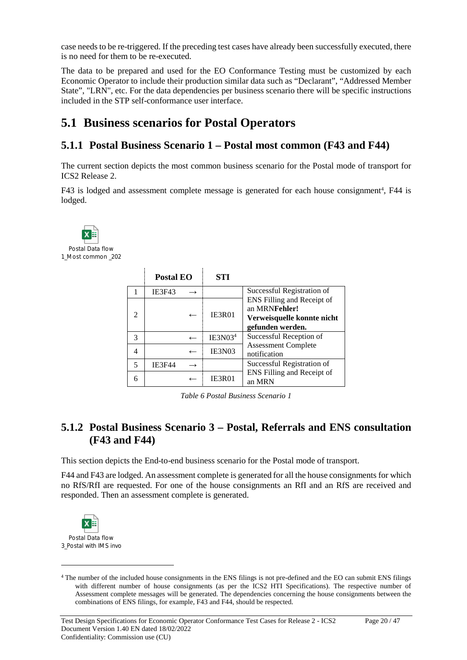case needs to be re-triggered. If the preceding test cases have already been successfully executed, there is no need for them to be re-executed.

The data to be prepared and used for the EO Conformance Testing must be customized by each Economic Operator to include their production similar data such as "Declarant", "Addressed Member State", "LRN", etc. For the data dependencies per business scenario there will be specific instructions included in the STP self-conformance user interface.

### **5.1 Business scenarios for Postal Operators**

#### **5.1.1 Postal Business Scenario 1 – Postal most common (F43 and F44)**

The current section depicts the most common business scenario for the Postal mode of transport for ICS2 Release 2.

F43 is lodged and assessment complete message is generated for each house consignment<sup>4</sup>, F44 is lodged.



Postal Data flow 1\_Most common \_202

|                             | Postal EO     | STI                 |                                                                                               |
|-----------------------------|---------------|---------------------|-----------------------------------------------------------------------------------------------|
|                             | <b>IE3F43</b> |                     | Successful Registration of                                                                    |
| $\mathcal{D}_{\mathcal{A}}$ |               | <b>IE3R01</b>       | ENS Filling and Receipt of<br>an MRNFehler!<br>Verweisquelle konnte nicht<br>gefunden werden. |
| 3                           |               | IE3N03 <sup>4</sup> | Successful Reception of                                                                       |
|                             |               | IE3N03              | <b>Assessment Complete</b><br>notification                                                    |
| $\overline{\phantom{0}}$    | <b>IE3F44</b> |                     | Successful Registration of                                                                    |
| 6                           |               | <b>IE3R01</b>       | ENS Filling and Receipt of<br>an MRN                                                          |

*Table 6 Postal Business Scenario 1*

#### **5.1.2 Postal Business Scenario 3 – Postal, Referrals and ENS consultation (F43 and F44)**

This section depicts the End-to-end business scenario for the Postal mode of transport.

F44 and F43 are lodged. An assessment complete is generated for all the house consignments for which no RfS/RfI are requested. For one of the house consignments an RfI and an RfS are received and responded. Then an assessment complete is generated.



<sup>4</sup> The number of the included house consignments in the ENS filings is not pre-defined and the EO can submit ENS filings with different number of house consignments (as per the ICS2 HTI Specifications). The respective number of Assessment complete messages will be generated. The dependencies concerning the house consignments between the combinations of ENS filings, for example, F43 and F44, should be respected.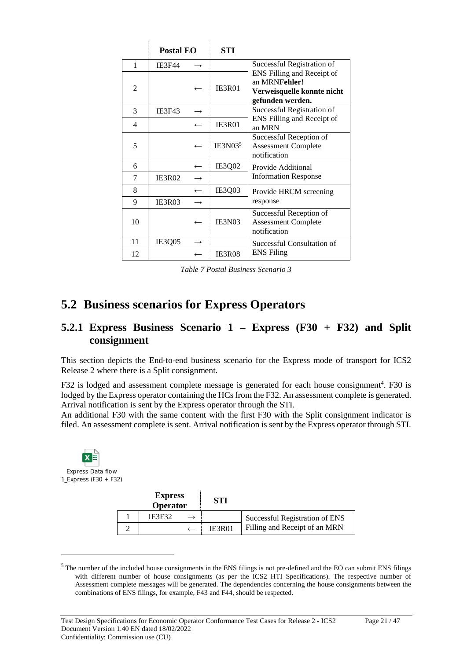|    | Postal EO     |                  | STI                 |                                                                                               |
|----|---------------|------------------|---------------------|-----------------------------------------------------------------------------------------------|
| 1  | <b>IE3F44</b> |                  |                     | Successful Registration of                                                                    |
| 2  |               |                  | <b>IE3R01</b>       | ENS Filling and Receipt of<br>an MRNFehler!<br>Verweisquelle konnte nicht<br>gefunden werden. |
| 3  | <b>IE3F43</b> |                  |                     | Successful Registration of                                                                    |
| 4  |               | $\leftarrow$     | <b>IE3R01</b>       | ENS Filling and Receipt of<br>an MRN                                                          |
| 5  |               |                  | IE3N03 <sup>5</sup> | Successful Reception of<br><b>Assessment Complete</b><br>notification                         |
| 6  |               | $\leftarrow$     | IE3Q02              | Provide Additional                                                                            |
| 7  | <b>IE3R02</b> | $\rightarrow$    |                     | <b>Information Response</b>                                                                   |
| 8  |               | $\leftarrow$     | IE3Q03              | Provide HRCM screening                                                                        |
| 9  | IE3R03        |                  |                     | response                                                                                      |
| 10 |               |                  | IE3N03              | Successful Reception of<br><b>Assessment Complete</b><br>notification                         |
| 11 | IE3Q05        |                  |                     | Successful Consultation of                                                                    |
| 12 |               | $\longleftarrow$ | <b>IE3R08</b>       | <b>ENS</b> Filing                                                                             |

*Table 7 Postal Business Scenario 3*

### **5.2 Business scenarios for Express Operators**

#### **5.2.1 Express Business Scenario 1 – Express (F30 + F32) and Split consignment**

This section depicts the End-to-end business scenario for the Express mode of transport for ICS2 Release 2 where there is a Split consignment.

F32 is lodged and assessment complete message is generated for each house consignment<sup>4</sup>. F30 is lodged by the Express operator containing the HCs from the F32. An assessment complete is generated. Arrival notification is sent by the Express operator through the STI.

An additional F30 with the same content with the first F30 with the Split consignment indicator is filed. An assessment complete is sent. Arrival notification is sent by the Express operator through STI.



| <b>Express</b><br>Operator | STI           |                                |
|----------------------------|---------------|--------------------------------|
| <b>IE3F32</b>              |               | Successful Registration of ENS |
|                            | <b>IE3R01</b> | Filling and Receipt of an MRN  |

<sup>&</sup>lt;sup>5</sup> The number of the included house consignments in the ENS filings is not pre-defined and the EO can submit ENS filings with different number of house consignments (as per the ICS2 HTI Specifications). The respective number of Assessment complete messages will be generated. The dependencies concerning the house consignments between the combinations of ENS filings, for example, F43 and F44, should be respected.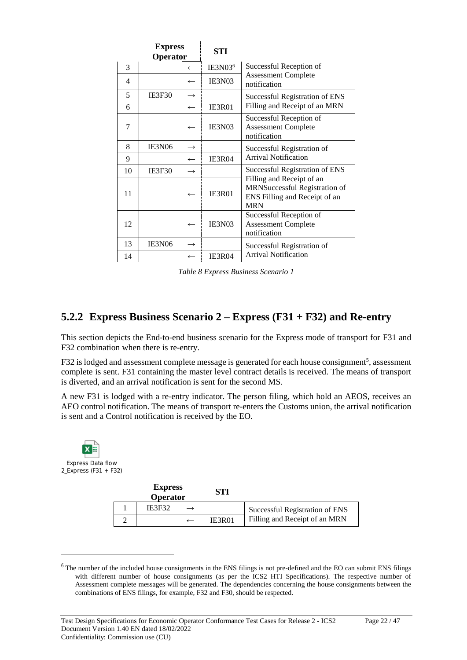|    | <b>Express</b><br>Operator |                          | STI                 |                                                                                                           |
|----|----------------------------|--------------------------|---------------------|-----------------------------------------------------------------------------------------------------------|
| 3  |                            | $\overline{\phantom{m}}$ | IE3N03 <sup>6</sup> | Successful Reception of                                                                                   |
| 4  |                            |                          | IE3N03              | <b>Assessment Complete</b><br>notification                                                                |
| 5  | IE3F30                     | $\rightarrow$            |                     | Successful Registration of ENS                                                                            |
| 6  |                            | $\overline{\phantom{m}}$ | <b>IE3R01</b>       | Filling and Receipt of an MRN                                                                             |
| 7  |                            |                          | IE3N03              | Successful Reception of<br><b>Assessment Complete</b><br>notification                                     |
| 8  | IE3N06                     | $\rightarrow$            |                     | Successful Registration of                                                                                |
| 9  |                            | $\leftarrow$             | IE3R04              | <b>Arrival Notification</b>                                                                               |
| 10 | IE3F30                     | $\rightarrow$            |                     | Successful Registration of ENS                                                                            |
| 11 |                            |                          | <b>IE3R01</b>       | Filling and Receipt of an<br>MRNSuccessful Registration of<br>ENS Filling and Receipt of an<br><b>MRN</b> |
| 12 |                            | $\leftarrow$             | IE3N03              | Successful Reception of<br><b>Assessment Complete</b><br>notification                                     |
| 13 | IE3N06                     | $\rightarrow$            |                     | Successful Registration of                                                                                |
| 14 |                            |                          | IE3R04              | <b>Arrival Notification</b>                                                                               |

*Table 8 Express Business Scenario 1*

#### **5.2.2 Express Business Scenario 2 – Express (F31 + F32) and Re-entry**

This section depicts the End-to-end business scenario for the Express mode of transport for F31 and F32 combination when there is re-entry.

F32 is lodged and assessment complete message is generated for each house consignment<sup>5</sup>, assessment complete is sent. F31 containing the master level contract details is received. The means of transport is diverted, and an arrival notification is sent for the second MS.

A new F31 is lodged with a re-entry indicator. The person filing, which hold an AEOS, receives an AEO control notification. The means of transport re-enters the Customs union, the arrival notification is sent and a Control notification is received by the EO.



<sup>&</sup>lt;sup>6</sup> The number of the included house consignments in the ENS filings is not pre-defined and the EO can submit ENS filings with different number of house consignments (as per the ICS2 HTI Specifications). The respective number of Assessment complete messages will be generated. The dependencies concerning the house consignments between the combinations of ENS filings, for example, F32 and F30, should be respected.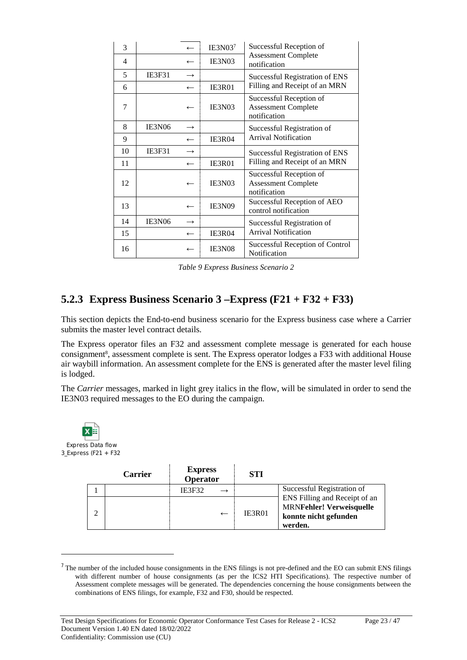| 3  |               |               | IE3N03 <sup>7</sup> | Successful Reception of                                               |
|----|---------------|---------------|---------------------|-----------------------------------------------------------------------|
| 4  |               | $\leftarrow$  | IE3N03              | <b>Assessment Complete</b><br>notification                            |
| 5  | <b>IE3F31</b> | $\rightarrow$ |                     | Successful Registration of ENS                                        |
| 6  |               | $\leftarrow$  | IE3R01              | Filling and Receipt of an MRN                                         |
| 7  |               |               | IE3N03              | Successful Reception of<br><b>Assessment Complete</b><br>notification |
| 8  | IE3N06        | $\rightarrow$ |                     | Successful Registration of                                            |
| 9  |               |               | IE3R04              | <b>Arrival Notification</b>                                           |
| 10 | <b>IE3F31</b> | $\rightarrow$ |                     | Successful Registration of ENS                                        |
| 11 |               |               | <b>IE3R01</b>       | Filling and Receipt of an MRN                                         |
| 12 |               |               | IE3N03              | Successful Reception of<br><b>Assessment Complete</b><br>notification |
| 13 |               | $\leftarrow$  | <b>IE3N09</b>       | Successful Reception of AEO<br>control notification                   |
| 14 | <b>IE3N06</b> | $\rightarrow$ |                     | Successful Registration of                                            |
| 15 |               | $\leftarrow$  | IE3R04              | <b>Arrival Notification</b>                                           |
| 16 |               |               | IE3N08              | Successful Reception of Control<br>Notification                       |

*Table 9 Express Business Scenario 2*

#### **5.2.3 Express Business Scenario 3 –Express (F21 + F32 + F33)**

This section depicts the End-to-end business scenario for the Express business case where a Carrier submits the master level contract details.

The Express operator files an F32 and assessment complete message is generated for each house consignment<sup>8</sup>, assessment complete is sent. The Express operator lodges a F33 with additional House air waybill information. An assessment complete for the ENS is generated after the master level filing is lodged.

The *Carrier* messages, marked in light grey italics in the flow, will be simulated in order to send the IE3N03 required messages to the EO during the campaign.



 $<sup>7</sup>$  The number of the included house consignments in the ENS filings is not pre-defined and the EO can submit ENS filings</sup> with different number of house consignments (as per the ICS2 HTI Specifications). The respective number of Assessment complete messages will be generated. The dependencies concerning the house consignments between the combinations of ENS filings, for example, F32 and F30, should be respected.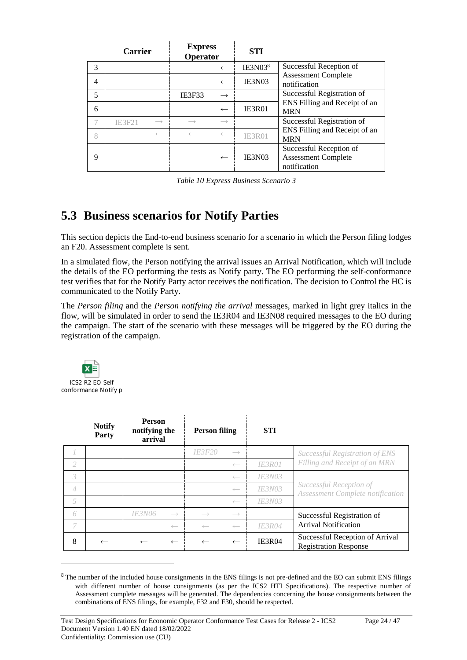|   | <b>Carrier</b> |                   | <b>Express</b><br>Operator |                   | <b>STI</b>          |                                                                       |  |  |  |
|---|----------------|-------------------|----------------------------|-------------------|---------------------|-----------------------------------------------------------------------|--|--|--|
| 3 |                |                   |                            | $\leftarrow$      | IE3N03 <sup>8</sup> | Successful Reception of                                               |  |  |  |
| 4 |                |                   |                            | $\leftarrow$      | IE3N03              | <b>Assessment Complete</b><br>notification                            |  |  |  |
| 5 |                |                   | <b>IE3F33</b>              | $\rightarrow$     |                     | Successful Registration of                                            |  |  |  |
| 6 |                |                   |                            | $\leftarrow$      | IE3R01              | ENS Filling and Receipt of an<br><b>MRN</b>                           |  |  |  |
|   | <b>IE3F21</b>  | $\longrightarrow$ |                            | $\longrightarrow$ |                     | Successful Registration of                                            |  |  |  |
| 8 |                | $\longleftarrow$  |                            | $\leftarrow$      | <b>IE3R01</b>       | ENS Filling and Receipt of an<br><b>MRN</b>                           |  |  |  |
| 9 |                |                   |                            | $\leftarrow$      | IE3N03              | Successful Reception of<br><b>Assessment Complete</b><br>notification |  |  |  |

*Table 10 Express Business Scenario 3*

### **5.3 Business scenarios for Notify Parties**

This section depicts the End-to-end business scenario for a scenario in which the Person filing lodges an F20. Assessment complete is sent.

In a simulated flow, the Person notifying the arrival issues an Arrival Notification, which will include the details of the EO performing the tests as Notify party. The EO performing the self-conformance test verifies that for the Notify Party actor receives the notification. The decision to Control the HC is communicated to the Notify Party.

The *Person filing* and the *Person notifying the arrival* messages, marked in light grey italics in the flow, will be simulated in order to send the IE3R04 and IE3N08 required messages to the EO during the campaign. The start of the scenario with these messages will be triggered by the EO during the registration of the campaign.



|                | <b>Notify</b><br>Party | <b>Person</b><br>notifying the<br>arrival |                   | <b>Person filing</b> |                   | <b>STI</b>           |                                                                 |  |
|----------------|------------------------|-------------------------------------------|-------------------|----------------------|-------------------|----------------------|-----------------------------------------------------------------|--|
|                |                        |                                           |                   | <b>IE3F20</b>        | $\longrightarrow$ |                      | Successful Registration of ENS                                  |  |
| 2              |                        |                                           |                   |                      | $\longleftarrow$  | <b>IE3R01</b>        | Filling and Receipt of an MRN                                   |  |
| 3              |                        |                                           |                   |                      | $\longleftarrow$  | <b>IE3N03</b>        |                                                                 |  |
| $\overline{4}$ |                        |                                           |                   |                      | $\longleftarrow$  | <i>IE3N03</i>        | Successful Reception of<br>Assessment Complete notification     |  |
| 5              |                        |                                           |                   |                      | $\leftarrow$      | <i><b>IE3N03</b></i> |                                                                 |  |
| 6              |                        | <i><b>IE3N06</b></i>                      | $\longrightarrow$ |                      | $\longrightarrow$ |                      | Successful Registration of                                      |  |
| 7              |                        |                                           | $\longleftarrow$  |                      |                   | <i><b>IE3R04</b></i> | <b>Arrival Notification</b>                                     |  |
| 8              |                        |                                           | $\leftarrow$      |                      | $\leftarrow$      | <b>IE3R04</b>        | Successful Reception of Arrival<br><b>Registration Response</b> |  |

<sup>&</sup>lt;sup>8</sup> The number of the included house consignments in the ENS filings is not pre-defined and the EO can submit ENS filings with different number of house consignments (as per the ICS2 HTI Specifications). The respective number of Assessment complete messages will be generated. The dependencies concerning the house consignments between the combinations of ENS filings, for example, F32 and F30, should be respected.

Test Design Specifications for Economic Operator Conformance Test Cases for Release 2 - ICS2 Page 24 / 47 Document Version 1.40 EN dated 18/02/2022 Confidentiality: Commission use (CU)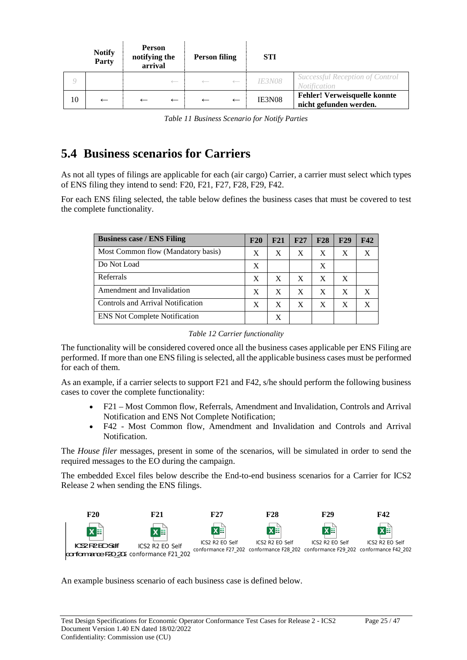|    | <b>Notify</b><br>Party | <b>Person</b><br>notifying the<br>arrival |                  | <b>Person filing</b> |              | <b>STI</b>           |                                                               |
|----|------------------------|-------------------------------------------|------------------|----------------------|--------------|----------------------|---------------------------------------------------------------|
|    |                        |                                           | $\longleftarrow$ |                      |              | <i><b>IE3N08</b></i> | Successful Reception of Control<br><i>Notification</i>        |
| 10 |                        |                                           | $\leftarrow$     |                      | $\leftarrow$ | IE3N08               | <b>Fehler! Verweisquelle konnte</b><br>nicht gefunden werden. |

*Table 11 Business Scenario for Notify Parties*

# **5.4 Business scenarios for Carriers**

As not all types of filings are applicable for each (air cargo) Carrier, a carrier must select which types of ENS filing they intend to send: F20, F21, F27, F28, F29, F42.

For each ENS filing selected, the table below defines the business cases that must be covered to test the complete functionality.

| <b>Business case / ENS Filing</b>    | F20 | F21          | F27 | F28 | F29 | F <sub>42</sub> |
|--------------------------------------|-----|--------------|-----|-----|-----|-----------------|
| Most Common flow (Mandatory basis)   | X   | X            | X   | X   | X   | X               |
| Do Not Load                          | X   |              |     | X   |     |                 |
| Referrals                            | X   | X            | X   | X   | X   |                 |
| Amendment and Invalidation           | X   | X            | X   | X   | X   | X               |
| Controls and Arrival Notification    | X   | $\mathbf{x}$ | X   | X   | X   | X               |
| <b>ENS Not Complete Notification</b> |     | Х            |     |     |     |                 |

*Table 12 Carrier functionality*

The functionality will be considered covered once all the business cases applicable per ENS Filing are performed. If more than one ENS filing is selected, all the applicable business cases must be performed for each of them.

As an example, if a carrier selects to support F21 and F42, s/he should perform the following business cases to cover the complete functionality:

- F21 Most Common flow, Referrals, Amendment and Invalidation, Controls and Arrival Notification and ENS Not Complete Notification;
- F42 Most Common flow, Amendment and Invalidation and Controls and Arrival Notification.

The *House filer* messages, present in some of the scenarios, will be simulated in order to send the required messages to the EO during the campaign.

The embedded Excel files below describe the End-to-end business scenarios for a Carrier for ICS2 Release 2 when sending the ENS filings.



An example business scenario of each business case is defined below.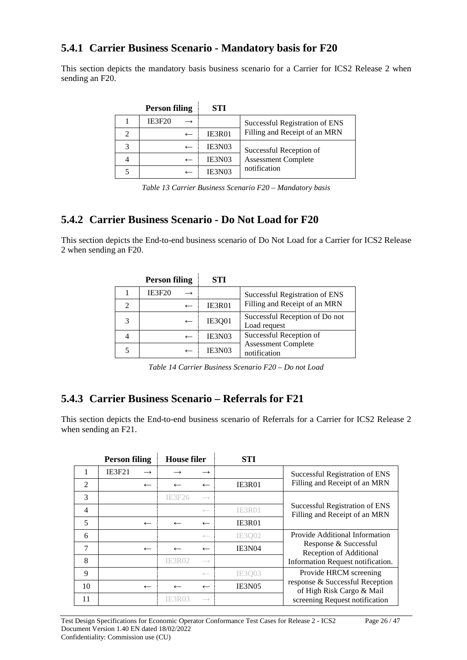#### **5.4.1 Carrier Business Scenario - Mandatory basis for F20**

This section depicts the mandatory basis business scenario for a Carrier for ICS2 Release 2 when sending an F20.

|   | <b>Person filing</b> | <b>STI</b> |                                |
|---|----------------------|------------|--------------------------------|
|   | <b>IE3F20</b>        |            | Successful Registration of ENS |
| 2 |                      | IE3R01     | Filling and Receipt of an MRN  |
| 3 | $\leftarrow$         | IE3N03     | Successful Reception of        |
| 4 |                      | IE3N03     | <b>Assessment Complete</b>     |
|   |                      | IE3N03     | notification                   |

*Table 13 Carrier Business Scenario F20 – Mandatory basis*

#### **5.4.2 Carrier Business Scenario - Do Not Load for F20**

 $\overline{1}$ 

This section depicts the End-to-end business scenario of Do Not Load for a Carrier for ICS2 Release 2 when sending an F20.

| <b>Person filing</b> | <b>STI</b>    |                                                |
|----------------------|---------------|------------------------------------------------|
| <b>IE3F20</b>        |               | Successful Registration of ENS                 |
|                      | <b>IE3R01</b> | Filling and Receipt of an MRN                  |
|                      | <b>IE3Q01</b> | Successful Reception of Do not<br>Load request |
|                      | IE3N03        | Successful Reception of                        |
|                      | IE3N03        | <b>Assessment Complete</b><br>notification     |

*Table 14 Carrier Business Scenario F20 – Do not Load*

#### **5.4.3 Carrier Business Scenario – Referrals for F21**

This section depicts the End-to-end business scenario of Referrals for a Carrier for ICS2 Release 2 when sending an F21.

|                | <b>Person filing</b> |               | <b>House filer</b> |                   |               |                                                                 | <b>STI</b> |  |
|----------------|----------------------|---------------|--------------------|-------------------|---------------|-----------------------------------------------------------------|------------|--|
|                | <b>IE3F21</b>        | $\rightarrow$ |                    | $\rightarrow$     |               | Successful Registration of ENS                                  |            |  |
| 2              |                      | $\leftarrow$  |                    | $\leftarrow$      | <b>IE3R01</b> | Filling and Receipt of an MRN                                   |            |  |
| 3              |                      |               | IE3F26             | $\longrightarrow$ |               |                                                                 |            |  |
| $\overline{4}$ |                      |               |                    | $\leftarrow$      | <b>IE3R01</b> | Successful Registration of ENS<br>Filling and Receipt of an MRN |            |  |
| 5              |                      | $\leftarrow$  |                    | $\leftarrow$      | IE3R01        |                                                                 |            |  |
| 6              |                      |               |                    | $\leftarrow$      | IE3002        | Provide Additional Information                                  |            |  |
| 7              |                      | $\leftarrow$  |                    | $\leftarrow$      | <b>IE3N04</b> | Response & Successful<br>Reception of Additional                |            |  |
| 8              |                      |               | IE3R02             | $\longrightarrow$ |               | Information Request notification.                               |            |  |
| 9              |                      |               |                    | $\leftarrow$      | IE3003        | Provide HRCM screening                                          |            |  |
| 10             |                      | $\leftarrow$  |                    | $\leftarrow$      | <b>IE3N05</b> | response & Successful Reception<br>of High Risk Cargo & Mail    |            |  |
| 11             |                      |               | <b>IE3R03</b>      | $\longrightarrow$ |               | screening Request notification                                  |            |  |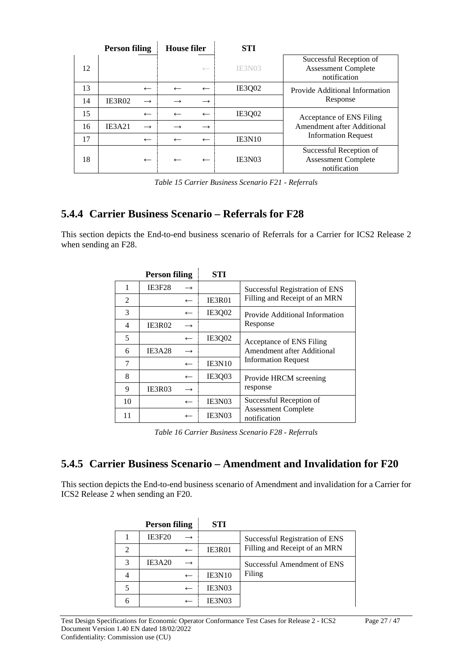|    | <b>Person filing</b> |               | <b>House filer</b> |               | STI           |                                                                       |
|----|----------------------|---------------|--------------------|---------------|---------------|-----------------------------------------------------------------------|
| 12 |                      |               |                    | $\leftarrow$  | <b>IE3N03</b> | Successful Reception of<br><b>Assessment Complete</b><br>notification |
| 13 |                      | $\leftarrow$  | $\leftarrow$       | $\leftarrow$  | <b>IE3002</b> | Provide Additional Information                                        |
| 14 | <b>IE3R02</b>        | $\rightarrow$ |                    | $\rightarrow$ |               | Response                                                              |
| 15 |                      | $\leftarrow$  |                    | $\leftarrow$  | <b>IE3002</b> | Acceptance of ENS Filing                                              |
| 16 | <b>IE3A21</b>        | $\rightarrow$ |                    | $\rightarrow$ |               | Amendment after Additional                                            |
| 17 |                      | $\leftarrow$  | $\leftarrow$       | $\leftarrow$  | <b>IE3N10</b> | <b>Information Request</b>                                            |
| 18 |                      | $\leftarrow$  | $\leftarrow$       | $\leftarrow$  | <b>IE3N03</b> | Successful Reception of<br><b>Assessment Complete</b><br>notification |

*Table 15 Carrier Business Scenario F21 - Referrals*

#### **5.4.4 Carrier Business Scenario – Referrals for F28**

This section depicts the End-to-end business scenario of Referrals for a Carrier for ICS2 Release 2 when sending an F28.

|                | <b>Person filing</b> | <b>STI</b>    |                                            |
|----------------|----------------------|---------------|--------------------------------------------|
| 1              | <b>IE3F28</b>        |               | Successful Registration of ENS             |
| $\mathfrak{D}$ | $\leftarrow$         | <b>IE3R01</b> | Filling and Receipt of an MRN              |
| 3              | $\leftarrow$         | IE3Q02        | Provide Additional Information             |
| 4              | IE3R02               |               | Response                                   |
| 5              | $\leftarrow$         | IE3Q02        | Acceptance of ENS Filing                   |
| 6              | IE3A28<br>→          |               | Amendment after Additional                 |
| 7              | $\leftarrow$         | <b>IE3N10</b> | <b>Information Request</b>                 |
| 8              | $\leftarrow$         | IE3Q03        | Provide HRCM screening                     |
| 9              | <b>IE3R03</b>        |               | response                                   |
| 10             | $\leftarrow$         | IE3N03        | Successful Reception of                    |
| 11             |                      | IE3N03        | <b>Assessment Complete</b><br>notification |

*Table 16 Carrier Business Scenario F28 - Referrals*

### **5.4.5 Carrier Business Scenario – Amendment and Invalidation for F20**

This section depicts the End-to-end business scenario of Amendment and invalidation for a Carrier for ICS2 Release 2 when sending an F20.

|                | <b>Person filing</b>     | STI           |                                |
|----------------|--------------------------|---------------|--------------------------------|
|                | <b>IE3F20</b>            |               | Successful Registration of ENS |
| $\overline{2}$ | $\overline{\phantom{m}}$ | IE3R01        | Filling and Receipt of an MRN  |
| 3              | IE3A20                   |               | Successful Amendment of ENS    |
| 4              |                          | <b>IE3N10</b> | Filing                         |
| 5              | $\leftarrow$             | IE3N03        |                                |
| 6              |                          | IE3N03        |                                |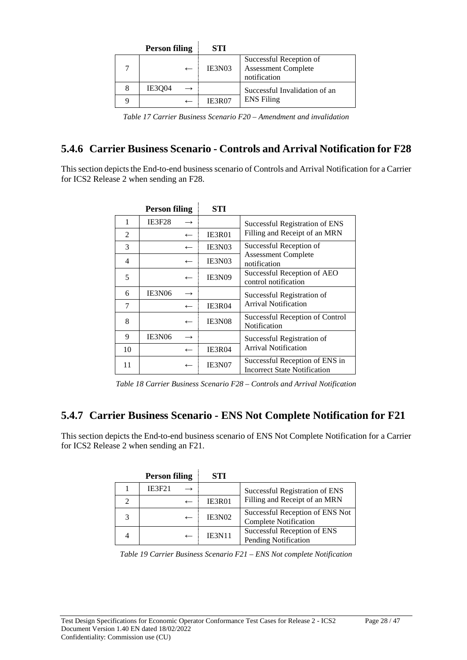|   | <b>Person filing</b> |              | <b>STI</b>    |                                                                |
|---|----------------------|--------------|---------------|----------------------------------------------------------------|
|   |                      | $\leftarrow$ | IE3N03        | Successful Reception of<br>Assessment Complete<br>notification |
| 8 | <b>IE3004</b>        |              |               | Successful Invalidation of an                                  |
| Q |                      |              | <b>IE3R07</b> | <b>ENS</b> Filing                                              |

*Table 17 Carrier Business Scenario F20 – Amendment and invalidation*

### **5.4.6 Carrier Business Scenario - Controls and Arrival Notification for F28**

This section depicts the End-to-end business scenario of Controls and Arrival Notification for a Carrier for ICS2 Release 2 when sending an F28.

|    | <b>Person filing</b>     |              | STI           |                                                                       |
|----|--------------------------|--------------|---------------|-----------------------------------------------------------------------|
| 1  | <b>IE3F28</b>            |              |               | Successful Registration of ENS                                        |
| 2  |                          | $\leftarrow$ | <b>IE3R01</b> | Filling and Receipt of an MRN                                         |
| 3  | $\leftarrow$             |              | IE3N03        | Successful Reception of                                               |
| 4  | $\leftarrow$             |              | IE3N03        | <b>Assessment Complete</b><br>notification                            |
| 5  | $\leftarrow$             |              | <b>IE3N09</b> | Successful Reception of AEO<br>control notification                   |
| 6  | IE3N06                   |              |               | Successful Registration of                                            |
| 7  | $\leftarrow$             |              | <b>IE3R04</b> | <b>Arrival Notification</b>                                           |
| 8  | $\leftarrow$             |              | <b>IE3N08</b> | Successful Reception of Control<br>Notification                       |
| 9  | IE3N06<br>$\rightarrow$  |              |               | Successful Registration of                                            |
| 10 | $\overline{\phantom{m}}$ |              | <b>IE3R04</b> | <b>Arrival Notification</b>                                           |
| 11 |                          |              | <b>IE3N07</b> | Successful Reception of ENS in<br><b>Incorrect State Notification</b> |

*Table 18 Carrier Business Scenario F28 – Controls and Arrival Notification*

#### **5.4.7 Carrier Business Scenario - ENS Not Complete Notification for F21**

This section depicts the End-to-end business scenario of ENS Not Complete Notification for a Carrier for ICS2 Release 2 when sending an F21.

| <b>Person filing</b> |               | <b>STI</b>    |                                                                 |
|----------------------|---------------|---------------|-----------------------------------------------------------------|
|                      | <b>IE3F21</b> |               | Successful Registration of ENS                                  |
|                      |               | <b>IE3R01</b> | Filling and Receipt of an MRN                                   |
|                      |               | IE3N02        | Successful Reception of ENS Not<br><b>Complete Notification</b> |
|                      |               | <b>IE3N11</b> | Successful Reception of ENS<br><b>Pending Notification</b>      |

*Table 19 Carrier Business Scenario F21 – ENS Not complete Notification*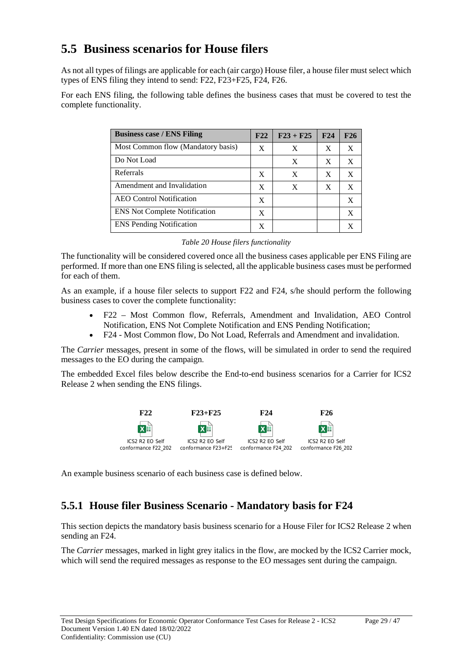### **5.5 Business scenarios for House filers**

As not all types of filings are applicable for each (air cargo) House filer, a house filer must select which types of ENS filing they intend to send: F22, F23+F25, F24, F26.

For each ENS filing, the following table defines the business cases that must be covered to test the complete functionality.

| <b>Business case / ENS Filing</b>    | F22 | $F23 + F25$ | F24 | F26 |
|--------------------------------------|-----|-------------|-----|-----|
| Most Common flow (Mandatory basis)   | X   | X           | X   | X   |
| Do Not Load                          |     | X           | X   | X   |
| Referrals                            | X   | X           | X   | X   |
| Amendment and Invalidation           | X   | X           | X   | X   |
| <b>AEO</b> Control Notification      | X   |             |     | X   |
| <b>ENS</b> Not Complete Notification | X   |             |     | X   |
| <b>ENS</b> Pending Notification      |     |             |     |     |

|  |  | Table 20 House filers functionality |
|--|--|-------------------------------------|
|  |  |                                     |

The functionality will be considered covered once all the business cases applicable per ENS Filing are performed. If more than one ENS filing is selected, all the applicable business cases must be performed for each of them.

As an example, if a house filer selects to support F22 and F24, s/he should perform the following business cases to cover the complete functionality:

- F22 Most Common flow, Referrals, Amendment and Invalidation, AEO Control Notification, ENS Not Complete Notification and ENS Pending Notification;
- F24 Most Common flow, Do Not Load, Referrals and Amendment and invalidation.

The *Carrier* messages, present in some of the flows, will be simulated in order to send the required messages to the EO during the campaign.

The embedded Excel files below describe the End-to-end business scenarios for a Carrier for ICS2 Release 2 when sending the ENS filings.



An example business scenario of each business case is defined below.

#### **5.5.1 House filer Business Scenario - Mandatory basis for F24**

This section depicts the mandatory basis business scenario for a House Filer for ICS2 Release 2 when sending an F24.

The *Carrier* messages, marked in light grey italics in the flow, are mocked by the ICS2 Carrier mock, which will send the required messages as response to the EO messages sent during the campaign.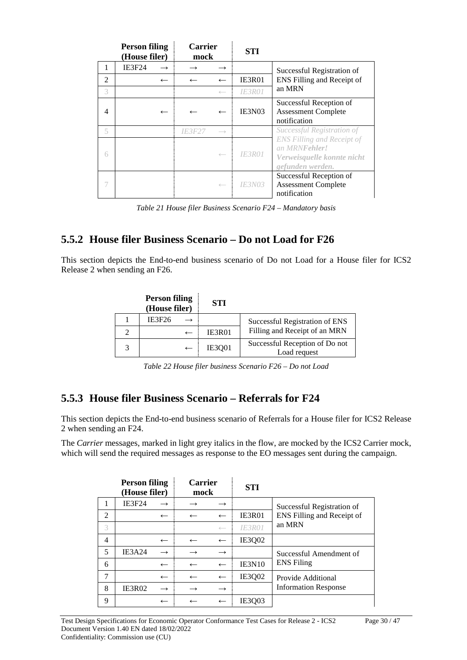|                | <b>Person filing</b><br>(House filer) | <b>Carrier</b><br>mock |                          | <b>STI</b>           |                                                                                                              |
|----------------|---------------------------------------|------------------------|--------------------------|----------------------|--------------------------------------------------------------------------------------------------------------|
| 1              | <b>IE3F24</b>                         |                        | $\rightarrow$            |                      | Successful Registration of                                                                                   |
| $\overline{2}$ | $\leftarrow$                          |                        | $\leftarrow$             | <b>IE3R01</b>        | ENS Filling and Receipt of                                                                                   |
| 3              |                                       |                        | $\longleftarrow$         | IE3R01               | an MRN                                                                                                       |
| 4              | $\leftarrow$                          |                        | $\overline{\phantom{m}}$ | IE3N03               | Successful Reception of<br><b>Assessment Complete</b><br>notification                                        |
| 5              |                                       | <i><b>IE3F27</b></i>   | $\longrightarrow$        |                      | Successful Registration of                                                                                   |
| 6              |                                       |                        | $\longleftarrow$         | <b>IE3R01</b>        | <b>ENS Filling and Receipt of</b><br>an MRN <b>Fehler!</b><br>Verweisquelle konnte nicht<br>gefunden werden. |
|                |                                       |                        | $\longleftarrow$         | <i><b>IE3N03</b></i> | Successful Reception of<br><b>Assessment Complete</b><br>notification                                        |

*Table 21 House filer Business Scenario F24 – Mandatory basis*

#### **5.5.2 House filer Business Scenario – Do not Load for F26**

This section depicts the End-to-end business scenario of Do not Load for a House filer for ICS2 Release 2 when sending an F26.

|   | <b>Person filing</b><br>(House filer) | STI           |                                                |
|---|---------------------------------------|---------------|------------------------------------------------|
|   | <b>IE3F26</b>                         |               | Successful Registration of ENS                 |
| 2 |                                       | IE3R01        | Filling and Receipt of an MRN                  |
|   |                                       | <b>IE3001</b> | Successful Reception of Do not<br>Load request |

*Table 22 House filer business Scenario F26 – Do not Load*

#### **5.5.3 House filer Business Scenario – Referrals for F24**

This section depicts the End-to-end business scenario of Referrals for a House filer for ICS2 Release 2 when sending an F24.

The *Carrier* messages, marked in light grey italics in the flow, are mocked by the ICS2 Carrier mock, which will send the required messages as response to the EO messages sent during the campaign.

|                | <b>Person filing</b><br>(House filer) |                          | <b>Carrier</b><br>mock |                          | <b>STI</b>    |                             |
|----------------|---------------------------------------|--------------------------|------------------------|--------------------------|---------------|-----------------------------|
|                | <b>IE3F24</b>                         | $\rightarrow$            |                        | $\rightarrow$            |               | Successful Registration of  |
| $\overline{2}$ |                                       | $\leftarrow$             | $\leftarrow$           | $\leftarrow$             | <b>IE3R01</b> | ENS Filling and Receipt of  |
| 3              |                                       |                          |                        | $\leftarrow$             | IE3R01        | an MRN                      |
| 4              |                                       | $\leftarrow$             | $\leftarrow$           | $\leftarrow$             | IE3Q02        |                             |
| 5              | IE3A24                                | $\rightarrow$            |                        | $\rightarrow$            |               | Successful Amendment of     |
| 6              |                                       | $\overline{\phantom{m}}$ |                        | $\overline{\phantom{m}}$ | <b>IE3N10</b> | <b>ENS Filing</b>           |
| 7              |                                       | $\leftarrow$             | $\leftarrow$           | $\leftarrow$             | IE3Q02        | Provide Additional          |
| 8              | IE3R02                                | $\rightarrow$            |                        | $\rightarrow$            |               | <b>Information Response</b> |
| 9              |                                       | $\leftarrow$             |                        | $\overline{\phantom{m}}$ | IE3Q03        |                             |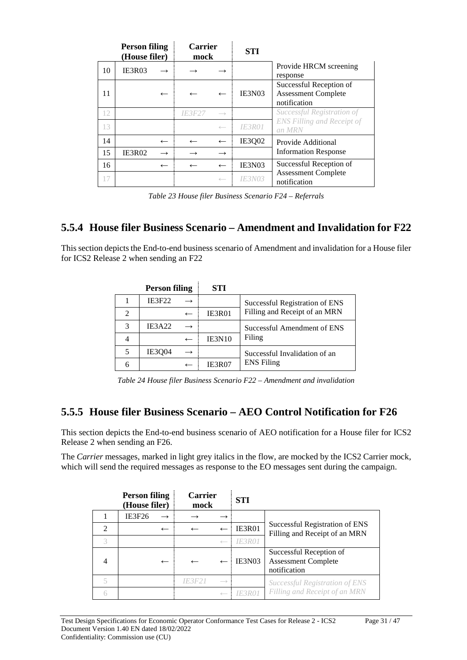|    | <b>Person filing</b><br>(House filer) |               | <b>Carrier</b><br>mock |                   | <b>STI</b>           |                                                                       |
|----|---------------------------------------|---------------|------------------------|-------------------|----------------------|-----------------------------------------------------------------------|
| 10 | IE3R03                                |               |                        |                   |                      | Provide HRCM screening<br>response                                    |
| 11 |                                       | $\leftarrow$  |                        | $\leftarrow$      | IE3N03               | Successful Reception of<br><b>Assessment Complete</b><br>notification |
| 12 |                                       |               | <i><b>IE3F27</b></i>   | $\longrightarrow$ |                      | Successful Registration of                                            |
| 13 |                                       |               |                        | $\longleftarrow$  | <b>IE3R01</b>        | <b>ENS Filling and Receipt of</b><br>an MRN                           |
| 14 |                                       | $\leftarrow$  | $\leftarrow$           | $\leftarrow$      | <b>IE3Q02</b>        | Provide Additional                                                    |
| 15 | IE3R02                                | $\rightarrow$ |                        | $\rightarrow$     |                      | <b>Information Response</b>                                           |
| 16 |                                       | $\leftarrow$  | $\leftarrow$           | $\leftarrow$      | IE3N03               | Successful Reception of                                               |
| 17 |                                       |               |                        | $\longleftarrow$  | <i><b>IE3N03</b></i> | <b>Assessment Complete</b><br>notification                            |

*Table 23 House filer Business Scenario F24 – Referrals*

#### **5.5.4 House filer Business Scenario – Amendment and Invalidation for F22**

This section depicts the End-to-end business scenario of Amendment and invalidation for a House filer for ICS2 Release 2 when sending an F22

| <b>Person filing</b> | <b>STI</b>    |                                |
|----------------------|---------------|--------------------------------|
| <b>IE3F22</b>        |               | Successful Registration of ENS |
|                      | IE3R01        | Filling and Receipt of an MRN  |
| <b>IE3A22</b>        |               | Successful Amendment of ENS    |
|                      | <b>IE3N10</b> | Filing                         |
| <b>IE3004</b>        |               | Successful Invalidation of an  |
|                      | IE3R07        | <b>ENS</b> Filing              |

*Table 24 House filer Business Scenario F22 – Amendment and invalidation*

#### **5.5.5 House filer Business Scenario – AEO Control Notification for F26**

This section depicts the End-to-end business scenario of AEO notification for a House filer for ICS2 Release 2 when sending an F26.

The *Carrier* messages, marked in light grey italics in the flow, are mocked by the ICS2 Carrier mock, which will send the required messages as response to the EO messages sent during the campaign.

|                | <b>Person filing</b><br>(House filer) | <b>Carrier</b><br>mock |                   | <b>STI</b>    |                                                                       |
|----------------|---------------------------------------|------------------------|-------------------|---------------|-----------------------------------------------------------------------|
|                | <b>IE3F26</b>                         |                        |                   |               |                                                                       |
| $\mathfrak{D}$ | $\leftarrow$                          |                        | $\leftarrow$      | IE3R01        | Successful Registration of ENS<br>Filling and Receipt of an MRN       |
| 3              |                                       |                        | $\leftarrow$      | <b>IE3R01</b> |                                                                       |
| 4              | $\leftarrow$                          |                        |                   | IE3N03        | Successful Reception of<br><b>Assessment Complete</b><br>notification |
| $\leq$         |                                       | IF3F2                  | $\longrightarrow$ |               | Successful Registration of ENS                                        |
|                |                                       |                        |                   |               | Filling and Receipt of an MRN                                         |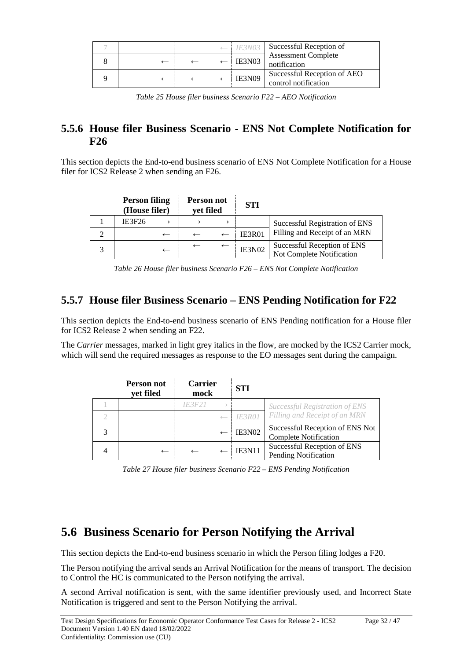|  |  | $\leftarrow$ IE3N03 | Successful Reception of                             |
|--|--|---------------------|-----------------------------------------------------|
|  |  | IE3N03              | <b>Assessment Complete</b><br>notification          |
|  |  | <b>IE3N09</b>       | Successful Reception of AEO<br>control notification |

*Table 25 House filer business Scenario F22 – AEO Notification*

#### **5.5.6 House filer Business Scenario - ENS Not Complete Notification for F26**

This section depicts the End-to-end business scenario of ENS Not Complete Notification for a House filer for ICS2 Release 2 when sending an F26.

| <b>Person filing</b><br>(House filer) | Person not<br>yet filed |               | <b>STI</b>    |                                                          |
|---------------------------------------|-------------------------|---------------|---------------|----------------------------------------------------------|
| IE3F26                                |                         | $\rightarrow$ |               | Successful Registration of ENS                           |
| $\leftarrow$                          |                         |               | <b>IE3R01</b> | Filling and Receipt of an MRN                            |
| $\overline{\phantom{m}}$              |                         |               | IE3N02        | Successful Reception of ENS<br>Not Complete Notification |

*Table 26 House filer business Scenario F26 – ENS Not Complete Notification*

### **5.5.7 House filer Business Scenario – ENS Pending Notification for F22**

This section depicts the End-to-end business scenario of ENS Pending notification for a House filer for ICS2 Release 2 when sending an F22.

The *Carrier* messages, marked in light grey italics in the flow, are mocked by the ICS2 Carrier mock, which will send the required messages as response to the EO messages sent during the campaign.

| Person not<br>yet filed | <b>Carrier</b><br>mock      | <b>STI</b>    |                                                                 |  |
|-------------------------|-----------------------------|---------------|-----------------------------------------------------------------|--|
|                         | IE3F2I<br>$\longrightarrow$ |               | Successful Registration of ENS                                  |  |
|                         |                             | <b>IE3R01</b> | Filling and Receipt of an MRN                                   |  |
|                         |                             | <b>IE3N02</b> | Successful Reception of ENS Not<br><b>Complete Notification</b> |  |
| $\leftarrow$            |                             | <b>IE3N11</b> | Successful Reception of ENS<br>Pending Notification             |  |

*Table 27 House filer business Scenario F22 – ENS Pending Notification*

# **5.6 Business Scenario for Person Notifying the Arrival**

This section depicts the End-to-end business scenario in which the Person filing lodges a F20.

The Person notifying the arrival sends an Arrival Notification for the means of transport. The decision to Control the HC is communicated to the Person notifying the arrival.

A second Arrival notification is sent, with the same identifier previously used, and Incorrect State Notification is triggered and sent to the Person Notifying the arrival.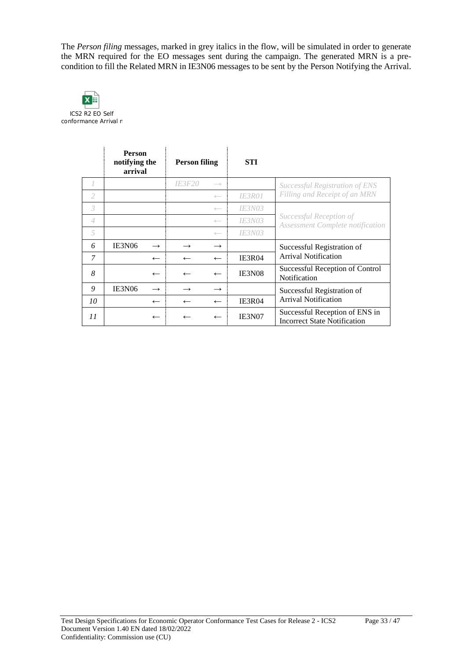The *Person filing* messages, marked in grey italics in the flow, will be simulated in order to generate the MRN required for the EO messages sent during the campaign. The generated MRN is a precondition to fill the Related MRN in IE3N06 messages to be sent by the Person Notifying the Arrival.



|    | <b>Person</b><br>notifying the<br>arrival |               | <b>Person filing</b> |                   | <b>STI</b>    |                                                                       |
|----|-------------------------------------------|---------------|----------------------|-------------------|---------------|-----------------------------------------------------------------------|
|    |                                           |               | <i><b>IE3F20</b></i> | $\longrightarrow$ |               | Successful Registration of ENS                                        |
| 2  |                                           |               |                      | $\longleftarrow$  | <i>IE3R01</i> | Filling and Receipt of an MRN                                         |
| 3  |                                           |               |                      | $\longleftarrow$  | <i>IE3N03</i> |                                                                       |
| 4  |                                           |               |                      | $\longleftarrow$  | <i>IE3N03</i> | Successful Reception of<br><b>Assessment Complete notification</b>    |
| 5  |                                           |               |                      | $\longleftarrow$  | <i>IE3N03</i> |                                                                       |
| 6  | <b>IE3N06</b>                             | $\rightarrow$ |                      | $\rightarrow$     |               | Successful Registration of                                            |
| 7  |                                           | $\leftarrow$  |                      | $\leftarrow$      | <b>IE3R04</b> | <b>Arrival Notification</b>                                           |
| 8  |                                           | $\leftarrow$  |                      | $\leftarrow$      | IE3N08        | Successful Reception of Control<br>Notification                       |
| 9  | IE3N06                                    | $\rightarrow$ |                      | $\rightarrow$     |               | Successful Registration of                                            |
| 10 |                                           | $\leftarrow$  |                      | $\leftarrow$      | IE3R04        | <b>Arrival Notification</b>                                           |
| 11 |                                           | $\leftarrow$  |                      | $\leftarrow$      | IE3N07        | Successful Reception of ENS in<br><b>Incorrect State Notification</b> |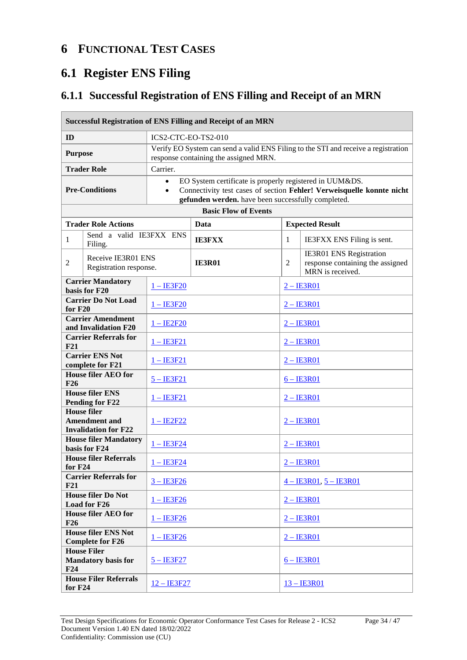### **6 FUNCTIONAL TEST CASES**

# **6.1 Register ENS Filing**

### **6.1.1 Successful Registration of ENS Filling and Receipt of an MRN**

| <b>Successful Registration of ENS Filling and Receipt of an MRN</b>   |                                                                           |                        |                                                                                                                                                                                        |                          |                |                                                                                 |  |
|-----------------------------------------------------------------------|---------------------------------------------------------------------------|------------------------|----------------------------------------------------------------------------------------------------------------------------------------------------------------------------------------|--------------------------|----------------|---------------------------------------------------------------------------------|--|
| ID                                                                    |                                                                           |                        | ICS2-CTC-EO-TS2-010                                                                                                                                                                    |                          |                |                                                                                 |  |
| <b>Purpose</b>                                                        |                                                                           |                        | Verify EO System can send a valid ENS Filing to the STI and receive a registration<br>response containing the assigned MRN.                                                            |                          |                |                                                                                 |  |
|                                                                       | <b>Trader Role</b>                                                        | Carrier.               |                                                                                                                                                                                        |                          |                |                                                                                 |  |
|                                                                       | <b>Pre-Conditions</b>                                                     | $\bullet$<br>$\bullet$ | EO System certificate is properly registered in UUM&DS.<br>Connectivity test cases of section Fehler! Verweisquelle konnte nicht<br>gefunden werden. have been successfully completed. |                          |                |                                                                                 |  |
|                                                                       |                                                                           |                        | <b>Basic Flow of Events</b>                                                                                                                                                            |                          |                |                                                                                 |  |
|                                                                       | <b>Trader Role Actions</b>                                                |                        | Data                                                                                                                                                                                   |                          |                | <b>Expected Result</b>                                                          |  |
| $\mathbf{1}$                                                          | Send a valid IE3FXX ENS<br>Filing.                                        |                        | <b>IE3FXX</b>                                                                                                                                                                          |                          | $\mathbf{1}$   | IE3FXX ENS Filing is sent.                                                      |  |
| 2                                                                     | Receive IE3R01 ENS<br>Registration response.                              |                        | <b>IE3R01</b>                                                                                                                                                                          |                          | $\overline{c}$ | IE3R01 ENS Registration<br>response containing the assigned<br>MRN is received. |  |
|                                                                       | <b>Carrier Mandatory</b><br>basis for F20                                 | $1 - IESF20$           |                                                                                                                                                                                        |                          |                | $2 - IESRO1$                                                                    |  |
| <b>Carrier Do Not Load</b><br>for $F20$                               |                                                                           | $1 - IESF20$           |                                                                                                                                                                                        |                          | $2 -$ IE3R01   |                                                                                 |  |
|                                                                       | <b>Carrier Amendment</b><br>and Invalidation F20                          | $1 - IE2F20$           |                                                                                                                                                                                        | $2 - IE3R01$             |                |                                                                                 |  |
| <b>Carrier Referrals for</b><br>F21                                   |                                                                           | <u>1 – IE3F21</u>      |                                                                                                                                                                                        |                          | $2 - IESRO1$   |                                                                                 |  |
| <b>Carrier ENS Not</b><br>complete for F21                            |                                                                           | $1 - IESF21$           |                                                                                                                                                                                        |                          | $2 - IE3R01$   |                                                                                 |  |
| <b>House filer AEO for</b><br>$5 - IB3F21$<br><b>F26</b>              |                                                                           |                        |                                                                                                                                                                                        |                          | $6 - IESRO1$   |                                                                                 |  |
|                                                                       | <b>House filer ENS</b><br><b>Pending for F22</b>                          | $1 - IB3F21$           |                                                                                                                                                                                        |                          | $2 - IESRO1$   |                                                                                 |  |
|                                                                       | <b>House filer</b><br><b>Amendment and</b><br><b>Invalidation for F22</b> | $1 - IE2F22$           |                                                                                                                                                                                        |                          | $2 - IE3 R 01$ |                                                                                 |  |
|                                                                       | <b>House filer Mandatory</b><br>basis for F24                             | $1 - IESF24$           |                                                                                                                                                                                        |                          | $2 - IE3R01$   |                                                                                 |  |
| for $F24$                                                             | <b>House filer Referrals</b>                                              | <u>1 – IE3F24</u>      |                                                                                                                                                                                        |                          | $2 - IESRO1$   |                                                                                 |  |
| F21                                                                   | <b>Carrier Referrals for</b>                                              | $3 - IESF26$           |                                                                                                                                                                                        | $4 - IESRO1, 5 - IESRO1$ |                |                                                                                 |  |
| <b>House filer Do Not</b><br>$1 - IESF26$<br>Load for F26             |                                                                           |                        |                                                                                                                                                                                        | $2 - IE3R01$             |                |                                                                                 |  |
| <b>House filer AEO for</b><br>$1 - IESF26$<br>F26                     |                                                                           |                        |                                                                                                                                                                                        |                          | $2 - IE3R01$   |                                                                                 |  |
| <b>House filer ENS Not</b><br>$1 - IESF26$<br><b>Complete for F26</b> |                                                                           |                        |                                                                                                                                                                                        |                          | $2 -$ IE3R01   |                                                                                 |  |
| F24                                                                   | <b>House Filer</b><br><b>Mandatory basis for</b>                          | $5 - IB3F27$           |                                                                                                                                                                                        |                          |                | $6 - IB3R01$                                                                    |  |
| for F24                                                               | <b>House Filer Referrals</b>                                              | $12 - IB3F27$          |                                                                                                                                                                                        |                          | $13 - IB3R01$  |                                                                                 |  |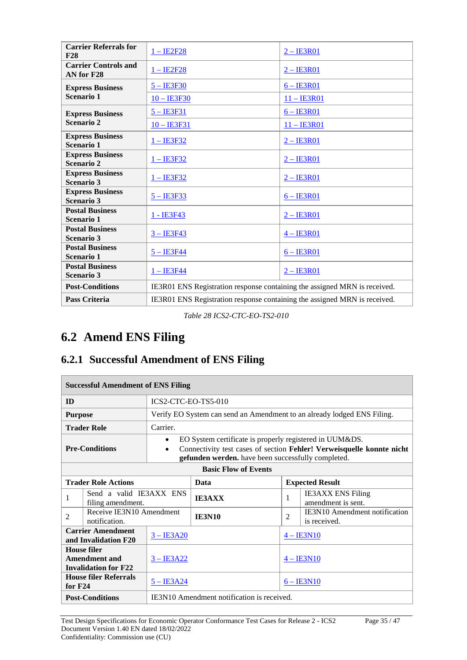| <b>Carrier Referrals for</b><br>F28          | $1 - IE2F28$                                                              | $2 - IESRO1$                                                              |  |  |
|----------------------------------------------|---------------------------------------------------------------------------|---------------------------------------------------------------------------|--|--|
| <b>Carrier Controls and</b><br>AN for F28    | $1 - IE2F28$                                                              | $2 - IESRO1$                                                              |  |  |
| <b>Express Business</b>                      | $5 - IESF30$                                                              | $6 - IESRO1$                                                              |  |  |
| <b>Scenario 1</b>                            | $10 - IESF30$                                                             | $11 - IE3R01$                                                             |  |  |
| <b>Express Business</b>                      | $5 - IESF31$                                                              | $6 - IESRO1$                                                              |  |  |
| <b>Scenario 2</b>                            | $10 - IE3F31$                                                             | $11 -$ <b>IE3R01</b>                                                      |  |  |
| <b>Express Business</b><br><b>Scenario 1</b> | $1 - \text{IE3F32}$                                                       | $2 - IE3R01$                                                              |  |  |
| <b>Express Business</b><br><b>Scenario 2</b> | $1 - IESF32$                                                              | $2 - IE3R01$                                                              |  |  |
| <b>Express Business</b><br><b>Scenario 3</b> | $1 - IESF32$                                                              | $2 - IESRO1$                                                              |  |  |
| <b>Express Business</b><br><b>Scenario 3</b> | $5 - IESF33$                                                              | $6 - IESRO1$                                                              |  |  |
| <b>Postal Business</b><br><b>Scenario 1</b>  | 1 - IE3F43                                                                | $2 - IE3R01$                                                              |  |  |
| <b>Postal Business</b><br><b>Scenario 3</b>  | $3 - IESF43$                                                              | $4 - IE3R01$                                                              |  |  |
| <b>Postal Business</b><br>Scenario 1         | $5 - IESF44$                                                              | $6 - IESRO1$                                                              |  |  |
| <b>Postal Business</b><br><b>Scenario 3</b>  | $1 - IE3F44$                                                              | $2 - IE3R01$                                                              |  |  |
| <b>Post-Conditions</b>                       |                                                                           | IE3R01 ENS Registration response containing the assigned MRN is received. |  |  |
| <b>Pass Criteria</b>                         | IE3R01 ENS Registration response containing the assigned MRN is received. |                                                                           |  |  |

*Table 28 ICS2-CTC-EO-TS2-010*

# **6.2 Amend ENS Filing**

### **6.2.1 Successful Amendment of ENS Filing**

| <b>Successful Amendment of ENS Filing</b>                                   |                                              |                                                                                                                                                                                                          |                                            |                |                                                                         |  |
|-----------------------------------------------------------------------------|----------------------------------------------|----------------------------------------------------------------------------------------------------------------------------------------------------------------------------------------------------------|--------------------------------------------|----------------|-------------------------------------------------------------------------|--|
| <b>ID</b>                                                                   |                                              | ICS2-CTC-EO-TS5-010                                                                                                                                                                                      |                                            |                |                                                                         |  |
| <b>Purpose</b>                                                              |                                              |                                                                                                                                                                                                          |                                            |                | Verify EO System can send an Amendment to an already lodged ENS Filing. |  |
|                                                                             | <b>Trader Role</b>                           | Carrier.                                                                                                                                                                                                 |                                            |                |                                                                         |  |
|                                                                             | <b>Pre-Conditions</b>                        | EO System certificate is properly registered in UUM&DS.<br>٠<br>Connectivity test cases of section Fehler! Verweisquelle konnte nicht<br>$\bullet$<br>gefunden werden. have been successfully completed. |                                            |                |                                                                         |  |
| <b>Basic Flow of Events</b>                                                 |                                              |                                                                                                                                                                                                          |                                            |                |                                                                         |  |
| <b>Trader Role Actions</b>                                                  |                                              |                                                                                                                                                                                                          | Data                                       |                | <b>Expected Result</b>                                                  |  |
| 1                                                                           | Send a valid IE3AXX ENS<br>filing amendment. |                                                                                                                                                                                                          | <b>IE3AXX</b>                              | 1              | <b>IE3AXX ENS Filing</b><br>amendment is sent.                          |  |
| 2                                                                           | Receive IE3N10 Amendment<br>notification.    |                                                                                                                                                                                                          | <b>IE3N10</b>                              | $\overline{2}$ | <b>IE3N10</b> Amendment notification<br>is received.                    |  |
| <b>Carrier Amendment</b><br>$3 - IE3A20$<br>and Invalidation F20            |                                              |                                                                                                                                                                                                          |                                            | $4 - IE3N10$   |                                                                         |  |
| House filer<br>Amendment and<br>$3 - IB3A22$<br><b>Invalidation for F22</b> |                                              | $4 - IE3N10$                                                                                                                                                                                             |                                            |                |                                                                         |  |
| <b>House filer Referrals</b><br>for $F24$                                   |                                              | $5 - IESA24$                                                                                                                                                                                             |                                            |                | $6 - IESN10$                                                            |  |
| <b>Post-Conditions</b>                                                      |                                              |                                                                                                                                                                                                          | IE3N10 Amendment notification is received. |                |                                                                         |  |

Test Design Specifications for Economic Operator Conformance Test Cases for Release 2 - ICS2 Page 35 / 47 Document Version 1.40 EN dated 18/02/2022 Confidentiality: Commission use (CU)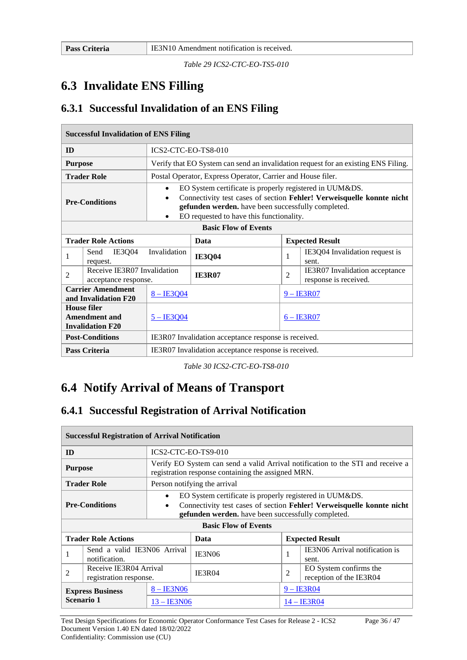Г

*Table 29 ICS2-CTC-EO-TS5-010*

### **6.3 Invalidate ENS Filling**

#### **6.3.1 Successful Invalidation of an ENS Filing**

| <b>Successful Invalidation of ENS Filing</b>                          |                                                     |                                                                                                                                                                                                                                                                           |                                                             |                        |                                                                                    |  |
|-----------------------------------------------------------------------|-----------------------------------------------------|---------------------------------------------------------------------------------------------------------------------------------------------------------------------------------------------------------------------------------------------------------------------------|-------------------------------------------------------------|------------------------|------------------------------------------------------------------------------------|--|
| ID                                                                    |                                                     | ICS2-CTC-EO-TS8-010                                                                                                                                                                                                                                                       |                                                             |                        |                                                                                    |  |
| <b>Purpose</b>                                                        |                                                     |                                                                                                                                                                                                                                                                           |                                                             |                        | Verify that EO System can send an invalidation request for an existing ENS Filing. |  |
|                                                                       | <b>Trader Role</b>                                  |                                                                                                                                                                                                                                                                           | Postal Operator, Express Operator, Carrier and House filer. |                        |                                                                                    |  |
| <b>Pre-Conditions</b>                                                 |                                                     | EO System certificate is properly registered in UUM&DS.<br>$\bullet$<br>Connectivity test cases of section Fehler! Verweisquelle konnte nicht<br>$\bullet$<br>gefunden werden. have been successfully completed.<br>EO requested to have this functionality.<br>$\bullet$ |                                                             |                        |                                                                                    |  |
| <b>Basic Flow of Events</b>                                           |                                                     |                                                                                                                                                                                                                                                                           |                                                             |                        |                                                                                    |  |
| <b>Trader Role Actions</b>                                            |                                                     | Data                                                                                                                                                                                                                                                                      |                                                             | <b>Expected Result</b> |                                                                                    |  |
| 1                                                                     | IE3Q04<br>Send<br>request.                          | Invalidation                                                                                                                                                                                                                                                              | <b>IE3Q04</b><br>1                                          |                        | IE3Q04 Invalidation request is<br>sent.                                            |  |
| 2                                                                     | Receive IE3R07 Invalidation<br>acceptance response. |                                                                                                                                                                                                                                                                           | <b>IE3R07</b>                                               | $\overline{c}$         | IE3R07 Invalidation acceptance<br>response is received.                            |  |
| <b>Carrier Amendment</b><br>and Invalidation F20                      |                                                     | $8 - IE3Q04$                                                                                                                                                                                                                                                              |                                                             | $9 - IE3 R 07$         |                                                                                    |  |
| <b>House filer</b><br><b>Amendment and</b><br><b>Invalidation F20</b> |                                                     | $5 - IB3Q04$                                                                                                                                                                                                                                                              |                                                             | $6 - IESRO7$           |                                                                                    |  |
|                                                                       | <b>Post-Conditions</b>                              | IE3R07 Invalidation acceptance response is received.                                                                                                                                                                                                                      |                                                             |                        |                                                                                    |  |
|                                                                       | <b>Pass Criteria</b>                                | IE3R07 Invalidation acceptance response is received.                                                                                                                                                                                                                      |                                                             |                        |                                                                                    |  |

*Table 30 ICS2-CTC-EO-TS8-010*

### **6.4 Notify Arrival of Means of Transport**

#### **6.4.1 Successful Registration of Arrival Notification**

|                                                       | <b>Successful Registration of Arrival Notification</b> |                     |                                                                                                                                                                                                                       |                |                                                   |                                         |
|-------------------------------------------------------|--------------------------------------------------------|---------------------|-----------------------------------------------------------------------------------------------------------------------------------------------------------------------------------------------------------------------|----------------|---------------------------------------------------|-----------------------------------------|
| ID                                                    |                                                        | ICS2-CTC-EO-TS9-010 |                                                                                                                                                                                                                       |                |                                                   |                                         |
| <b>Purpose</b>                                        |                                                        |                     | Verify EO System can send a valid Arrival notification to the STI and receive a<br>registration response containing the assigned MRN.                                                                                 |                |                                                   |                                         |
|                                                       | <b>Trader Role</b>                                     |                     | Person notifying the arrival                                                                                                                                                                                          |                |                                                   |                                         |
| $\bullet$<br><b>Pre-Conditions</b><br>$\bullet$       |                                                        |                     | EO System certificate is properly registered in UUM&DS.<br>Connectivity test cases of section Fehler! Verweisquelle konnte nicht<br>gefunden werden. have been successfully completed.<br><b>Basic Flow of Events</b> |                |                                                   |                                         |
|                                                       | <b>Trader Role Actions</b>                             |                     | Data                                                                                                                                                                                                                  |                | <b>Expected Result</b>                            |                                         |
|                                                       | Send a valid IE3N06 Arrival<br>notification.           |                     | <b>IE3N06</b>                                                                                                                                                                                                         |                | 1                                                 | IE3N06 Arrival notification is<br>sent. |
| Receive IE3R04 Arrival<br>2<br>registration response. |                                                        | IE3R04              |                                                                                                                                                                                                                       | $\overline{c}$ | EO System confirms the<br>reception of the IE3R04 |                                         |
|                                                       | <b>Express Business</b>                                | $-$ IE3N06          |                                                                                                                                                                                                                       |                | $9 - IE3R04$                                      |                                         |
| Scenario 1                                            |                                                        | 13 – IE3N06         |                                                                                                                                                                                                                       |                | 14 – IE3R04                                       |                                         |

Test Design Specifications for Economic Operator Conformance Test Cases for Release 2 - ICS2 Page 36 / 47 Document Version 1.40 EN dated 18/02/2022 Confidentiality: Commission use (CU)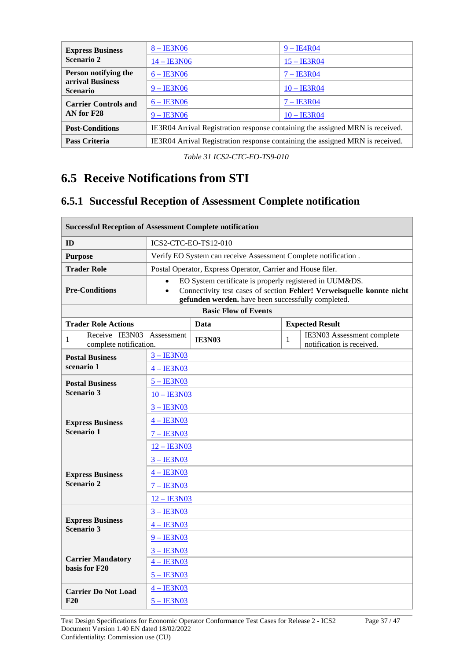| <b>Express Business</b>             | $8 - IE3N06$                                                                  | $9 - IE4R04$         |  |  |  |
|-------------------------------------|-------------------------------------------------------------------------------|----------------------|--|--|--|
| Scenario 2                          | 14 - IE3N06                                                                   | $15 - IB3R04$        |  |  |  |
| Person notifying the                | $6 - IE3N06$                                                                  | $7 - IESRO4$         |  |  |  |
| arrival Business<br><b>Scenario</b> | $9 - IE3N06$                                                                  | $10 - \text{IE}3R04$ |  |  |  |
| <b>Carrier Controls and</b>         | $6 - IB3N06$                                                                  | $7 - IESRO4$         |  |  |  |
| AN for F28                          | $9 - IE3N06$                                                                  | $10 - \text{IE}3R04$ |  |  |  |
| <b>Post-Conditions</b>              | IE3R04 Arrival Registration response containing the assigned MRN is received. |                      |  |  |  |
| <b>Pass Criteria</b>                | IE3R04 Arrival Registration response containing the assigned MRN is received. |                      |  |  |  |

*Table 31 ICS2-CTC-EO-TS9-010*

# **6.5 Receive Notifications from STI**

### **6.5.1 Successful Reception of Assessment Complete notification**

| <b>Successful Reception of Assessment Complete notification</b> |                                                     |                                                                                                                                                                                                                  |                                                                |              |                                                         |  |  |
|-----------------------------------------------------------------|-----------------------------------------------------|------------------------------------------------------------------------------------------------------------------------------------------------------------------------------------------------------------------|----------------------------------------------------------------|--------------|---------------------------------------------------------|--|--|
| ID                                                              |                                                     | ICS2-CTC-EO-TS12-010                                                                                                                                                                                             |                                                                |              |                                                         |  |  |
| <b>Purpose</b>                                                  |                                                     |                                                                                                                                                                                                                  | Verify EO System can receive Assessment Complete notification. |              |                                                         |  |  |
|                                                                 | <b>Trader Role</b>                                  |                                                                                                                                                                                                                  | Postal Operator, Express Operator, Carrier and House filer.    |              |                                                         |  |  |
| <b>Pre-Conditions</b>                                           |                                                     | EO System certificate is properly registered in UUM&DS.<br>$\bullet$<br>Connectivity test cases of section Fehler! Verweisquelle konnte nicht<br>$\bullet$<br>gefunden werden. have been successfully completed. |                                                                |              |                                                         |  |  |
|                                                                 |                                                     |                                                                                                                                                                                                                  | <b>Basic Flow of Events</b>                                    |              |                                                         |  |  |
|                                                                 | <b>Trader Role Actions</b>                          |                                                                                                                                                                                                                  | Data                                                           |              | <b>Expected Result</b>                                  |  |  |
| 1                                                               | Receive IE3N03 Assessment<br>complete notification. |                                                                                                                                                                                                                  | <b>IE3N03</b>                                                  | $\mathbf{1}$ | IE3N03 Assessment complete<br>notification is received. |  |  |
|                                                                 | <b>Postal Business</b>                              | $3 - IE3N03$                                                                                                                                                                                                     |                                                                |              |                                                         |  |  |
| scenario 1                                                      |                                                     | $4 - IE3N03$                                                                                                                                                                                                     |                                                                |              |                                                         |  |  |
|                                                                 | <b>Postal Business</b>                              | $5 - IESN03$                                                                                                                                                                                                     |                                                                |              |                                                         |  |  |
|                                                                 | Scenario 3                                          | $10 - \text{IE3N03}$                                                                                                                                                                                             |                                                                |              |                                                         |  |  |
|                                                                 |                                                     | $3 - IESN03$                                                                                                                                                                                                     |                                                                |              |                                                         |  |  |
|                                                                 | <b>Express Business</b>                             | $4 - IE3N03$                                                                                                                                                                                                     |                                                                |              |                                                         |  |  |
|                                                                 | Scenario 1                                          | $7 - IESN03$                                                                                                                                                                                                     |                                                                |              |                                                         |  |  |
|                                                                 |                                                     | $12 - IE3N03$                                                                                                                                                                                                    |                                                                |              |                                                         |  |  |
|                                                                 |                                                     | $3 - IE3N03$                                                                                                                                                                                                     |                                                                |              |                                                         |  |  |
|                                                                 | <b>Express Business</b>                             | $4 - IE3N03$                                                                                                                                                                                                     |                                                                |              |                                                         |  |  |
|                                                                 | Scenario 2                                          | $7 - IESN03$                                                                                                                                                                                                     |                                                                |              |                                                         |  |  |
|                                                                 |                                                     | $12 - IE3N03$                                                                                                                                                                                                    |                                                                |              |                                                         |  |  |
|                                                                 | <b>Express Business</b>                             | $3 - IESN03$                                                                                                                                                                                                     |                                                                |              |                                                         |  |  |
|                                                                 | Scenario 3                                          | $4 - IE3N03$                                                                                                                                                                                                     |                                                                |              |                                                         |  |  |
|                                                                 |                                                     | $9 - IE3N03$                                                                                                                                                                                                     |                                                                |              |                                                         |  |  |
|                                                                 | <b>Carrier Mandatory</b>                            | $3 - IESN03$                                                                                                                                                                                                     |                                                                |              |                                                         |  |  |
| basis for F20                                                   |                                                     | $4 - IE3N03$                                                                                                                                                                                                     |                                                                |              |                                                         |  |  |
|                                                                 |                                                     | $5 - IESN03$                                                                                                                                                                                                     |                                                                |              |                                                         |  |  |
|                                                                 | <b>Carrier Do Not Load</b>                          | $4 - IE3N03$                                                                                                                                                                                                     |                                                                |              |                                                         |  |  |
| F20                                                             |                                                     | $5 - \text{IE3N03}$                                                                                                                                                                                              |                                                                |              |                                                         |  |  |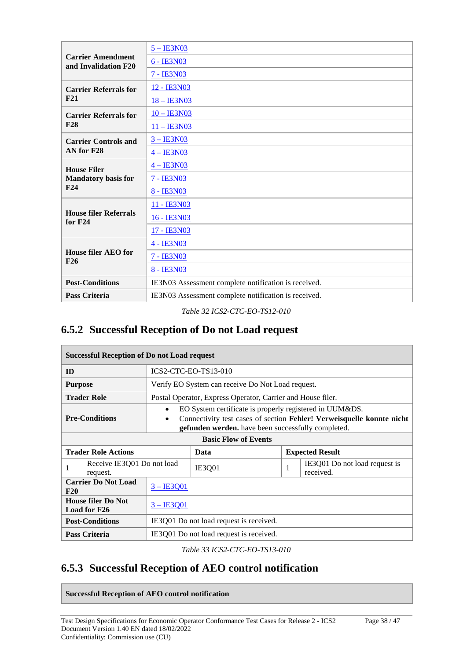|                                                  | $5 - IESN03$                                         |
|--------------------------------------------------|------------------------------------------------------|
| <b>Carrier Amendment</b><br>and Invalidation F20 | 6 - IE3N03                                           |
|                                                  | 7 - IE3N03                                           |
| <b>Carrier Referrals for</b>                     | 12 - IE3N03                                          |
| F21                                              | 18 - IE3N03                                          |
| <b>Carrier Referrals for</b>                     | $10 - \text{IE3N03}$                                 |
| <b>F28</b>                                       | $11 - IE3N03$                                        |
| <b>Carrier Controls and</b>                      | $3 - IESN03$                                         |
| AN for F28                                       | $4 - IE3N03$                                         |
| <b>House Filer</b>                               | $4 - IE3N03$                                         |
| <b>Mandatory basis for</b>                       | 7 - IE3N03                                           |
| F24                                              | 8 - IE3N03                                           |
|                                                  | 11 - IE3N03                                          |
| <b>House filer Referrals</b><br>for $F24$        | 16 - IE3N03                                          |
|                                                  | 17 - IE3N03                                          |
|                                                  | 4 - IE3N03                                           |
| <b>House filer AEO for</b><br>F26                | 7 - IE3N03                                           |
|                                                  | 8 - IE3N03                                           |
| <b>Post-Conditions</b>                           | IE3N03 Assessment complete notification is received. |
| <b>Pass Criteria</b>                             | IE3N03 Assessment complete notification is received. |

*Table 32 ICS2-CTC-EO-TS12-010*

### **6.5.2 Successful Reception of Do not Load request**

| <b>Successful Reception of Do not Load request</b>        |                                                                                                                                                                                                                         |                                                             |   |                                            |  |
|-----------------------------------------------------------|-------------------------------------------------------------------------------------------------------------------------------------------------------------------------------------------------------------------------|-------------------------------------------------------------|---|--------------------------------------------|--|
| ID                                                        |                                                                                                                                                                                                                         | ICS2-CTC-EO-TS13-010                                        |   |                                            |  |
| <b>Purpose</b>                                            |                                                                                                                                                                                                                         | Verify EO System can receive Do Not Load request.           |   |                                            |  |
| <b>Trader Role</b>                                        |                                                                                                                                                                                                                         | Postal Operator, Express Operator, Carrier and House filer. |   |                                            |  |
| <b>Pre-Conditions</b>                                     | EO System certificate is properly registered in UUM&DS.<br>$\bullet$<br>Connectivity test cases of section Fehler! Verweisquelle konnte nicht<br>$\bullet$<br><b>gefunden werden.</b> have been successfully completed. |                                                             |   |                                            |  |
| <b>Basic Flow of Events</b>                               |                                                                                                                                                                                                                         |                                                             |   |                                            |  |
| <b>Trader Role Actions</b>                                |                                                                                                                                                                                                                         | Data                                                        |   | <b>Expected Result</b>                     |  |
| Receive IE3Q01 Do not load<br>1<br>request.               |                                                                                                                                                                                                                         | <b>IE3Q01</b>                                               | 1 | IE3Q01 Do not load request is<br>received. |  |
| <b>Carrier Do Not Load</b><br>$3 - IE3001$<br>F20         |                                                                                                                                                                                                                         |                                                             |   |                                            |  |
| <b>House filer Do Not</b><br>$3 - IE3001$<br>Load for F26 |                                                                                                                                                                                                                         |                                                             |   |                                            |  |
| <b>Post-Conditions</b>                                    |                                                                                                                                                                                                                         | IE3Q01 Do not load request is received.                     |   |                                            |  |
| <b>Pass Criteria</b>                                      |                                                                                                                                                                                                                         | IE3Q01 Do not load request is received.                     |   |                                            |  |

*Table 33 ICS2-CTC-EO-TS13-010*

### **6.5.3 Successful Reception of AEO control notification**

**Successful Reception of AEO control notification**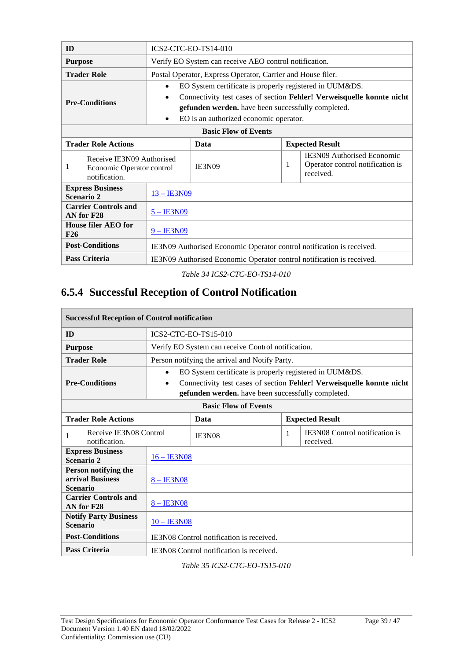| ID                                                                           |                            | ICS2-CTC-EO-TS14-010                                                  |                                                                       |                                                                                    |                                                                       |  |
|------------------------------------------------------------------------------|----------------------------|-----------------------------------------------------------------------|-----------------------------------------------------------------------|------------------------------------------------------------------------------------|-----------------------------------------------------------------------|--|
| <b>Purpose</b>                                                               |                            |                                                                       | Verify EO System can receive AEO control notification.                |                                                                                    |                                                                       |  |
|                                                                              | <b>Trader Role</b>         |                                                                       | Postal Operator, Express Operator, Carrier and House filer.           |                                                                                    |                                                                       |  |
|                                                                              |                            | $\bullet$                                                             | EO System certificate is properly registered in UUM&DS.               |                                                                                    |                                                                       |  |
|                                                                              | <b>Pre-Conditions</b>      | ٠                                                                     |                                                                       |                                                                                    | Connectivity test cases of section Fehler! Verweisquelle konnte nicht |  |
|                                                                              |                            |                                                                       | gefunden werden. have been successfully completed.                    |                                                                                    |                                                                       |  |
|                                                                              |                            | EO is an authorized economic operator.<br>$\bullet$                   |                                                                       |                                                                                    |                                                                       |  |
|                                                                              |                            |                                                                       | <b>Basic Flow of Events</b>                                           |                                                                                    |                                                                       |  |
|                                                                              | <b>Trader Role Actions</b> |                                                                       | Data                                                                  |                                                                                    | <b>Expected Result</b>                                                |  |
| Receive IE3N09 Authorised<br>1<br>Economic Operator control<br>notification. |                            | <b>IE3N09</b>                                                         | 1                                                                     | <b>IE3N09 Authorised Economic</b><br>Operator control notification is<br>received. |                                                                       |  |
| <b>Express Business</b><br>Scenario 2                                        |                            | <u>13 – IE3N09</u>                                                    |                                                                       |                                                                                    |                                                                       |  |
| <b>Carrier Controls and</b><br>AN for F28                                    |                            | $5 - \text{I} \text{E} 3 \text{N} 09$                                 |                                                                       |                                                                                    |                                                                       |  |
| <b>House filer AEO for</b><br>F26                                            |                            | $9 - IE3N09$                                                          |                                                                       |                                                                                    |                                                                       |  |
| <b>Post-Conditions</b>                                                       |                            |                                                                       | IE3N09 Authorised Economic Operator control notification is received. |                                                                                    |                                                                       |  |
|                                                                              | <b>Pass Criteria</b>       | IE3N09 Authorised Economic Operator control notification is received. |                                                                       |                                                                                    |                                                                       |  |

*Table 34 ICS2-CTC-EO-TS14-010*

# **6.5.4 Successful Reception of Control Notification**

| <b>Successful Reception of Control notification</b>                         |                                         |                                          |                                                         |   |                                                                       |  |
|-----------------------------------------------------------------------------|-----------------------------------------|------------------------------------------|---------------------------------------------------------|---|-----------------------------------------------------------------------|--|
| <b>ID</b>                                                                   |                                         |                                          | ICS2-CTC-EO-TS15-010                                    |   |                                                                       |  |
| <b>Purpose</b>                                                              |                                         |                                          | Verify EO System can receive Control notification.      |   |                                                                       |  |
|                                                                             | <b>Trader Role</b>                      |                                          | Person notifying the arrival and Notify Party.          |   |                                                                       |  |
|                                                                             |                                         | $\bullet$                                | EO System certificate is properly registered in UUM&DS. |   |                                                                       |  |
|                                                                             | <b>Pre-Conditions</b>                   | $\bullet$                                |                                                         |   | Connectivity test cases of section Fehler! Verweisquelle konnte nicht |  |
|                                                                             |                                         |                                          | gefunden werden. have been successfully completed.      |   |                                                                       |  |
| <b>Basic Flow of Events</b>                                                 |                                         |                                          |                                                         |   |                                                                       |  |
| <b>Trader Role Actions</b>                                                  |                                         |                                          | Data                                                    |   | <b>Expected Result</b>                                                |  |
| 1                                                                           | Receive IE3N08 Control<br>notification. |                                          | IE3N08                                                  | 1 | <b>IE3N08</b> Control notification is<br>received.                    |  |
|                                                                             | <b>Express Business</b><br>Scenario 2   | 16 - IE3N08                              |                                                         |   |                                                                       |  |
| Person notifying the<br>arrival Business<br>$8 - IE3N08$<br><b>Scenario</b> |                                         |                                          |                                                         |   |                                                                       |  |
| <b>Carrier Controls and</b><br>$8 - IE3N08$<br>AN for F28                   |                                         |                                          |                                                         |   |                                                                       |  |
| <b>Notify Party Business</b><br>$10 - IE3N08$<br><b>Scenario</b>            |                                         |                                          |                                                         |   |                                                                       |  |
| <b>Post-Conditions</b>                                                      |                                         | IE3N08 Control notification is received. |                                                         |   |                                                                       |  |
|                                                                             | <b>Pass Criteria</b>                    |                                          | IE3N08 Control notification is received.                |   |                                                                       |  |

*Table 35 ICS2-CTC-EO-TS15-010*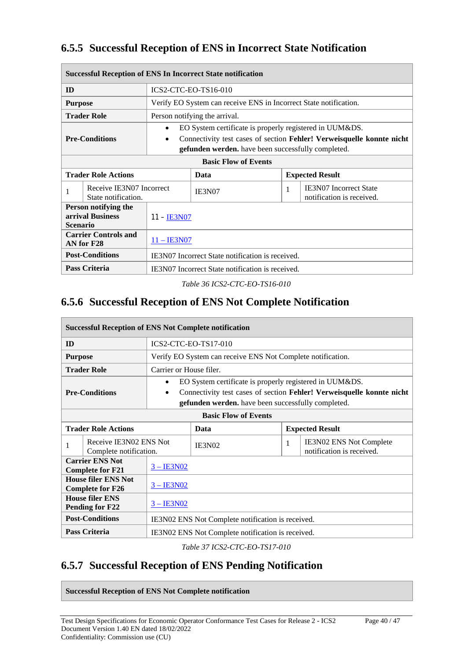### **6.5.5 Successful Reception of ENS in Incorrect State Notification**

| <b>Successful Reception of ENS In Incorrect State notification</b> |                                                 |                                                                                                                                                                                                          |                                                                   |   |                                                     |  |
|--------------------------------------------------------------------|-------------------------------------------------|----------------------------------------------------------------------------------------------------------------------------------------------------------------------------------------------------------|-------------------------------------------------------------------|---|-----------------------------------------------------|--|
| ID                                                                 |                                                 |                                                                                                                                                                                                          | <b>ICS2-CTC-EO-TS16-010</b>                                       |   |                                                     |  |
| <b>Purpose</b>                                                     |                                                 |                                                                                                                                                                                                          | Verify EO System can receive ENS in Incorrect State notification. |   |                                                     |  |
|                                                                    | <b>Trader Role</b>                              |                                                                                                                                                                                                          | Person notifying the arrival.                                     |   |                                                     |  |
| <b>Pre-Conditions</b>                                              |                                                 | EO System certificate is properly registered in UUM&DS.<br>٠<br>Connectivity test cases of section Fehler! Verweisquelle konnte nicht<br>$\bullet$<br>gefunden werden. have been successfully completed. |                                                                   |   |                                                     |  |
| <b>Basic Flow of Events</b>                                        |                                                 |                                                                                                                                                                                                          |                                                                   |   |                                                     |  |
| <b>Trader Role Actions</b>                                         |                                                 |                                                                                                                                                                                                          | Data                                                              |   | <b>Expected Result</b>                              |  |
|                                                                    | Receive IE3N07 Incorrect<br>State notification. |                                                                                                                                                                                                          | IE3N07                                                            | 1 | IE3N07 Incorrect State<br>notification is received. |  |
| Person notifying the<br>arrival Business<br><b>Scenario</b>        |                                                 | 11 – <u>IE3N07</u>                                                                                                                                                                                       |                                                                   |   |                                                     |  |
| <b>Carrier Controls and</b><br>AN for F28                          |                                                 | $11 -$ IE3N07                                                                                                                                                                                            |                                                                   |   |                                                     |  |
| <b>Post-Conditions</b>                                             |                                                 |                                                                                                                                                                                                          | IE3N07 Incorrect State notification is received.                  |   |                                                     |  |
| Pass Criteria                                                      |                                                 |                                                                                                                                                                                                          | IE3N07 Incorrect State notification is received.                  |   |                                                     |  |

*Table 36 ICS2-CTC-EO-TS16-010*

### **6.5.6 Successful Reception of ENS Not Complete Notification**

| <b>Successful Reception of ENS Not Complete notification</b>          |                                                   |                                                   |                                                                                                                             |   |                                                             |  |
|-----------------------------------------------------------------------|---------------------------------------------------|---------------------------------------------------|-----------------------------------------------------------------------------------------------------------------------------|---|-------------------------------------------------------------|--|
| ID                                                                    |                                                   |                                                   | <b>ICS2-CTC-EO-TS17-010</b>                                                                                                 |   |                                                             |  |
| <b>Purpose</b>                                                        |                                                   |                                                   | Verify EO System can receive ENS Not Complete notification.                                                                 |   |                                                             |  |
|                                                                       | <b>Trader Role</b>                                | Carrier or House filer.                           |                                                                                                                             |   |                                                             |  |
|                                                                       |                                                   | $\bullet$                                         | EO System certificate is properly registered in UUM&DS.                                                                     |   |                                                             |  |
|                                                                       | <b>Pre-Conditions</b>                             | $\bullet$                                         | Connectivity test cases of section Fehler! Verweisquelle konnte nicht<br>gefunden werden. have been successfully completed. |   |                                                             |  |
| <b>Basic Flow of Events</b>                                           |                                                   |                                                   |                                                                                                                             |   |                                                             |  |
| <b>Trader Role Actions</b>                                            |                                                   |                                                   | Data                                                                                                                        |   | <b>Expected Result</b>                                      |  |
|                                                                       | Receive IE3N02 ENS Not<br>Complete notification.  |                                                   | <b>IE3N02</b>                                                                                                               | 1 | <b>IE3N02 ENS Not Complete</b><br>notification is received. |  |
|                                                                       | <b>Carrier ENS Not</b><br><b>Complete for F21</b> | $3 - IE3N02$                                      |                                                                                                                             |   |                                                             |  |
| <b>House filer ENS Not</b><br>$3 - IE3N02$<br><b>Complete for F26</b> |                                                   |                                                   |                                                                                                                             |   |                                                             |  |
| <b>House filer ENS</b><br>$3 - IE3N02$<br>Pending for F22             |                                                   |                                                   |                                                                                                                             |   |                                                             |  |
| <b>Post-Conditions</b>                                                |                                                   | IE3N02 ENS Not Complete notification is received. |                                                                                                                             |   |                                                             |  |
|                                                                       | <b>Pass Criteria</b>                              |                                                   | IE3N02 ENS Not Complete notification is received.                                                                           |   |                                                             |  |

*Table 37 ICS2-CTC-EO-TS17-010*

### **6.5.7 Successful Reception of ENS Pending Notification**

**Successful Reception of ENS Not Complete notification**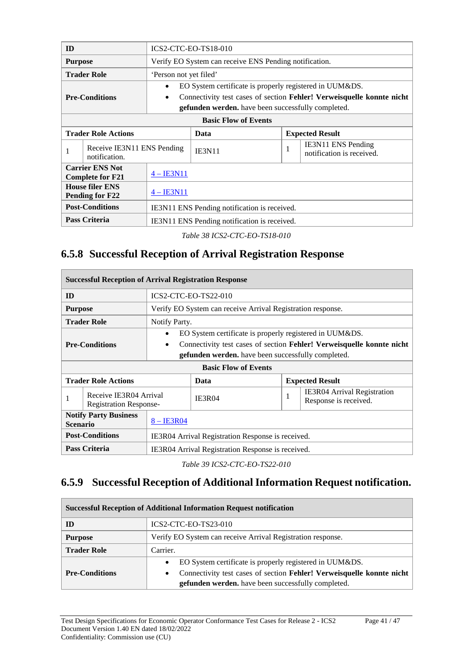| ID                                                        |                                             |                                              | <b>ICS2-CTC-EO-TS18-010</b>                               |   |                                                                       |  |  |
|-----------------------------------------------------------|---------------------------------------------|----------------------------------------------|-----------------------------------------------------------|---|-----------------------------------------------------------------------|--|--|
| <b>Purpose</b>                                            |                                             |                                              | Verify EO System can receive ENS Pending notification.    |   |                                                                       |  |  |
|                                                           | <b>Trader Role</b>                          | 'Person not yet filed'                       |                                                           |   |                                                                       |  |  |
|                                                           |                                             | ٠                                            | EO System certificate is properly registered in UUM&DS.   |   |                                                                       |  |  |
|                                                           | <b>Pre-Conditions</b>                       | $\bullet$                                    |                                                           |   | Connectivity test cases of section Fehler! Verweisquelle konnte nicht |  |  |
|                                                           |                                             |                                              | <b>gefunden werden.</b> have been successfully completed. |   |                                                                       |  |  |
| <b>Basic Flow of Events</b>                               |                                             |                                              |                                                           |   |                                                                       |  |  |
|                                                           | <b>Trader Role Actions</b>                  |                                              | Data                                                      |   | <b>Expected Result</b>                                                |  |  |
| 1                                                         | Receive IE3N11 ENS Pending<br>notification. |                                              | <b>IE3N11</b>                                             | 1 | IE3N11 ENS Pending<br>notification is received.                       |  |  |
| <b>Carrier ENS Not</b><br><b>Complete for F21</b>         |                                             | $4 - IE3N11$                                 |                                                           |   |                                                                       |  |  |
| <b>House filer ENS</b><br>$4 - IE3N11$<br>Pending for F22 |                                             |                                              |                                                           |   |                                                                       |  |  |
| <b>Post-Conditions</b>                                    |                                             | IE3N11 ENS Pending notification is received. |                                                           |   |                                                                       |  |  |
|                                                           | <b>Pass Criteria</b>                        |                                              | IE3N11 ENS Pending notification is received.              |   |                                                                       |  |  |

*Table 38 ICS2-CTC-EO-TS18-010*

### **6.5.8 Successful Reception of Arrival Registration Response**

| <b>Successful Reception of Arrival Registration Response</b> |                                                         |                                                                                                                                                 |                                                             |  |                        |                                                         |  |
|--------------------------------------------------------------|---------------------------------------------------------|-------------------------------------------------------------------------------------------------------------------------------------------------|-------------------------------------------------------------|--|------------------------|---------------------------------------------------------|--|
| ID                                                           |                                                         |                                                                                                                                                 | <b>ICS2-CTC-EO-TS22-010</b>                                 |  |                        |                                                         |  |
| <b>Purpose</b>                                               |                                                         |                                                                                                                                                 | Verify EO System can receive Arrival Registration response. |  |                        |                                                         |  |
|                                                              | <b>Trader Role</b>                                      | Notify Party.                                                                                                                                   |                                                             |  |                        |                                                         |  |
|                                                              |                                                         |                                                                                                                                                 |                                                             |  |                        | EO System certificate is properly registered in UUM&DS. |  |
| <b>Pre-Conditions</b>                                        |                                                         | Connectivity test cases of section Fehler! Verweisquelle konnte nicht<br>$\bullet$<br><b>gefunden werden.</b> have been successfully completed. |                                                             |  |                        |                                                         |  |
|                                                              |                                                         |                                                                                                                                                 |                                                             |  |                        |                                                         |  |
|                                                              |                                                         |                                                                                                                                                 | <b>Basic Flow of Events</b>                                 |  |                        |                                                         |  |
|                                                              | <b>Trader Role Actions</b>                              |                                                                                                                                                 | Data                                                        |  | <b>Expected Result</b> |                                                         |  |
| 1                                                            | Receive IE3R04 Arrival<br><b>Registration Response-</b> |                                                                                                                                                 | <b>IE3R04</b>                                               |  | л.                     | IE3R04 Arrival Registration<br>Response is received.    |  |
| <b>Notify Party Business</b><br><b>Scenario</b>              |                                                         | $8 - IB3R04$                                                                                                                                    |                                                             |  |                        |                                                         |  |
| <b>Post-Conditions</b>                                       |                                                         |                                                                                                                                                 | IE3R04 Arrival Registration Response is received.           |  |                        |                                                         |  |
| Pass Criteria                                                |                                                         |                                                                                                                                                 | IE3R04 Arrival Registration Response is received.           |  |                        |                                                         |  |

*Table 39 ICS2-CTC-EO-TS22-010*

### **6.5.9 Successful Reception of Additional Information Request notification.**

| <b>Successful Reception of Additional Information Request notification</b> |                                                                                    |  |  |  |  |  |  |  |
|----------------------------------------------------------------------------|------------------------------------------------------------------------------------|--|--|--|--|--|--|--|
| ID                                                                         | ICS2-CTC-EO-TS23-010                                                               |  |  |  |  |  |  |  |
| <b>Purpose</b>                                                             | Verify EO System can receive Arrival Registration response.                        |  |  |  |  |  |  |  |
| <b>Trader Role</b>                                                         | Carrier.                                                                           |  |  |  |  |  |  |  |
|                                                                            | EO System certificate is properly registered in UUM&DS.<br>$\bullet$               |  |  |  |  |  |  |  |
| <b>Pre-Conditions</b>                                                      | Connectivity test cases of section Fehler! Verweisquelle konnte nicht<br>$\bullet$ |  |  |  |  |  |  |  |
|                                                                            | gefunden werden. have been successfully completed.                                 |  |  |  |  |  |  |  |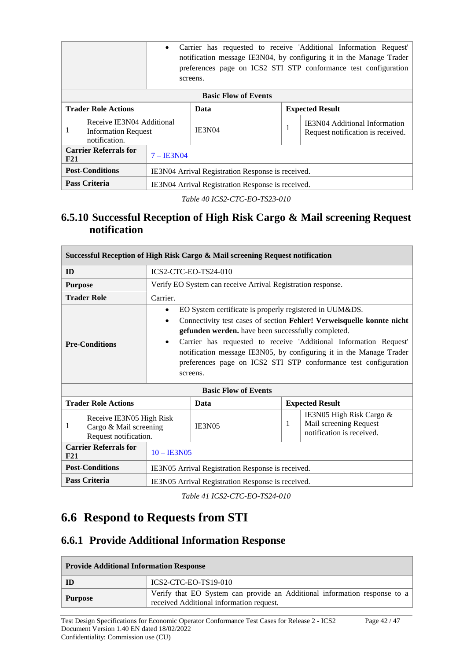|                                                     | Carrier has requested to receive 'Additional Information Request'<br>$\bullet$<br>notification message IE3N04, by configuring it in the Manage Trader<br>preferences page on ICS2 STI STP conformance test configuration<br>screens. |                                                   |               |    |                                                                           |  |
|-----------------------------------------------------|--------------------------------------------------------------------------------------------------------------------------------------------------------------------------------------------------------------------------------------|---------------------------------------------------|---------------|----|---------------------------------------------------------------------------|--|
| <b>Basic Flow of Events</b>                         |                                                                                                                                                                                                                                      |                                                   |               |    |                                                                           |  |
| <b>Trader Role Actions</b>                          |                                                                                                                                                                                                                                      |                                                   | Data          |    | <b>Expected Result</b>                                                    |  |
| 1                                                   | Receive IE3N04 Additional<br><b>Information Request</b><br>notification.                                                                                                                                                             |                                                   | <b>IE3N04</b> | л. | <b>IE3N04 Additional Information</b><br>Request notification is received. |  |
| <b>Carrier Referrals for</b><br>$7 - IB3N04$<br>F21 |                                                                                                                                                                                                                                      |                                                   |               |    |                                                                           |  |
| <b>Post-Conditions</b>                              |                                                                                                                                                                                                                                      | IE3N04 Arrival Registration Response is received. |               |    |                                                                           |  |
| Pass Criteria                                       |                                                                                                                                                                                                                                      | IE3N04 Arrival Registration Response is received. |               |    |                                                                           |  |

*Table 40 ICS2-CTC-EO-TS23-010*

#### **6.5.10 Successful Reception of High Risk Cargo & Mail screening Request notification**

| Successful Reception of High Risk Cargo & Mail screening Request notification |                                                                             |                                                                                                                                                                                                                                                                                                                                                                                                                                                          |                                                             |   |  |                                                                                 |
|-------------------------------------------------------------------------------|-----------------------------------------------------------------------------|----------------------------------------------------------------------------------------------------------------------------------------------------------------------------------------------------------------------------------------------------------------------------------------------------------------------------------------------------------------------------------------------------------------------------------------------------------|-------------------------------------------------------------|---|--|---------------------------------------------------------------------------------|
| ID                                                                            |                                                                             |                                                                                                                                                                                                                                                                                                                                                                                                                                                          | ICS2-CTC-EO-TS24-010                                        |   |  |                                                                                 |
| <b>Purpose</b>                                                                |                                                                             |                                                                                                                                                                                                                                                                                                                                                                                                                                                          | Verify EO System can receive Arrival Registration response. |   |  |                                                                                 |
|                                                                               | <b>Trader Role</b>                                                          | Carrier.                                                                                                                                                                                                                                                                                                                                                                                                                                                 |                                                             |   |  |                                                                                 |
|                                                                               | <b>Pre-Conditions</b>                                                       | EO System certificate is properly registered in UUM&DS.<br>$\bullet$<br>Connectivity test cases of section Fehler! Verweisquelle konnte nicht<br>$\bullet$<br>gefunden werden. have been successfully completed.<br>Carrier has requested to receive 'Additional Information Request'<br>$\bullet$<br>notification message IE3N05, by configuring it in the Manage Trader<br>preferences page on ICS2 STI STP conformance test configuration<br>screens. |                                                             |   |  |                                                                                 |
|                                                                               |                                                                             |                                                                                                                                                                                                                                                                                                                                                                                                                                                          | <b>Basic Flow of Events</b>                                 |   |  |                                                                                 |
|                                                                               | <b>Trader Role Actions</b>                                                  |                                                                                                                                                                                                                                                                                                                                                                                                                                                          | Data                                                        |   |  | <b>Expected Result</b>                                                          |
| 1                                                                             | Receive IE3N05 High Risk<br>Cargo & Mail screening<br>Request notification. |                                                                                                                                                                                                                                                                                                                                                                                                                                                          | <b>IE3N05</b>                                               | 1 |  | IE3N05 High Risk Cargo &<br>Mail screening Request<br>notification is received. |
| <b>Carrier Referrals for</b><br>F21                                           |                                                                             | $10 - \text{IE3N05}$                                                                                                                                                                                                                                                                                                                                                                                                                                     |                                                             |   |  |                                                                                 |
| <b>Post-Conditions</b>                                                        |                                                                             | IE3N05 Arrival Registration Response is received.                                                                                                                                                                                                                                                                                                                                                                                                        |                                                             |   |  |                                                                                 |
| <b>Pass Criteria</b>                                                          |                                                                             |                                                                                                                                                                                                                                                                                                                                                                                                                                                          | IE3N05 Arrival Registration Response is received.           |   |  |                                                                                 |

*Table 41 ICS2-CTC-EO-TS24-010*

# **6.6 Respond to Requests from STI**

### **6.6.1 Provide Additional Information Response**

| <b>Provide Additional Information Response</b> |                                                                                                                       |  |  |  |  |  |
|------------------------------------------------|-----------------------------------------------------------------------------------------------------------------------|--|--|--|--|--|
| ID                                             | $ICS2-CTC-EO-TS19-010$                                                                                                |  |  |  |  |  |
| Purpose                                        | Verify that EO System can provide an Additional information response to a<br>received Additional information request. |  |  |  |  |  |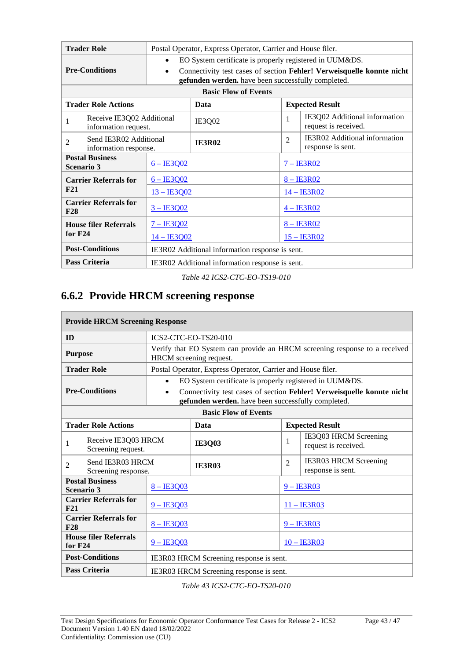| <b>Trader Role</b>                   |                                                   | Postal Operator, Express Operator, Carrier and House filer.                                                                                                |                                                                                   |               |                            |                                                       |  |
|--------------------------------------|---------------------------------------------------|------------------------------------------------------------------------------------------------------------------------------------------------------------|-----------------------------------------------------------------------------------|---------------|----------------------------|-------------------------------------------------------|--|
| <b>Pre-Conditions</b>                |                                                   | EO System certificate is properly registered in UUM&DS.<br>$\bullet$<br>Connectivity test cases of section Fehler! Verweisquelle konnte nicht<br>$\bullet$ |                                                                                   |               |                            |                                                       |  |
|                                      |                                                   |                                                                                                                                                            | gefunden werden. have been successfully completed.<br><b>Basic Flow of Events</b> |               |                            |                                                       |  |
|                                      | <b>Trader Role Actions</b>                        |                                                                                                                                                            | Data<br><b>Expected Result</b>                                                    |               |                            |                                                       |  |
| 1                                    | Receive IE3Q02 Additional<br>information request. |                                                                                                                                                            | IE3Q02                                                                            |               | 1                          | IE3Q02 Additional information<br>request is received. |  |
| 2                                    | Send IE3R02 Additional<br>information response.   |                                                                                                                                                            | <b>IE3R02</b>                                                                     |               | $\overline{2}$             | IE3R02 Additional information<br>response is sent.    |  |
| <b>Postal Business</b><br>Scenario 3 |                                                   | $6 - IB3002$                                                                                                                                               |                                                                                   |               | $7 - IB3R02$               |                                                       |  |
|                                      | <b>Carrier Referrals for</b>                      | $6 - IB3002$                                                                                                                                               |                                                                                   | $8 - IB3R02$  |                            |                                                       |  |
| F21                                  |                                                   | $13 - IB3002$                                                                                                                                              |                                                                                   | $14 - IB3R02$ |                            |                                                       |  |
| <b>Carrier Referrals for</b><br>F28  |                                                   | $3 - IE3002$                                                                                                                                               |                                                                                   |               | $4 - IESRO2$               |                                                       |  |
| <b>House filer Referrals</b>         |                                                   | $7 - IB3002$                                                                                                                                               |                                                                                   |               | $8 - \text{IE}3\text{R}02$ |                                                       |  |
| for $F24$                            |                                                   |                                                                                                                                                            | $14 - IB3Q02$                                                                     |               | $15 - IB3R02$              |                                                       |  |
|                                      | <b>Post-Conditions</b>                            |                                                                                                                                                            | IE3R02 Additional information response is sent.                                   |               |                            |                                                       |  |
|                                      | Pass Criteria                                     | IE3R02 Additional information response is sent.                                                                                                            |                                                                                   |               |                            |                                                       |  |

*Table 42 ICS2-CTC-EO-TS19-010*

### **6.6.2 Provide HRCM screening response**

| <b>Provide HRCM Screening Response</b>                    |                                             |              |                                                                                                                             |                |                                                   |  |  |
|-----------------------------------------------------------|---------------------------------------------|--------------|-----------------------------------------------------------------------------------------------------------------------------|----------------|---------------------------------------------------|--|--|
| ID                                                        |                                             |              | <b>ICS2-CTC-EO-TS20-010</b>                                                                                                 |                |                                                   |  |  |
| <b>Purpose</b>                                            |                                             |              | Verify that EO System can provide an HRCM screening response to a received<br>HRCM screening request.                       |                |                                                   |  |  |
|                                                           | <b>Trader Role</b>                          |              | Postal Operator, Express Operator, Carrier and House filer.                                                                 |                |                                                   |  |  |
|                                                           |                                             | $\bullet$    | EO System certificate is properly registered in UUM&DS.                                                                     |                |                                                   |  |  |
|                                                           | <b>Pre-Conditions</b>                       | $\bullet$    | Connectivity test cases of section Fehler! Verweisquelle konnte nicht<br>gefunden werden. have been successfully completed. |                |                                                   |  |  |
| <b>Basic Flow of Events</b>                               |                                             |              |                                                                                                                             |                |                                                   |  |  |
|                                                           | <b>Trader Role Actions</b>                  |              | Data                                                                                                                        |                | <b>Expected Result</b>                            |  |  |
| 1                                                         | Receive IE3Q03 HRCM<br>Screening request.   |              | <b>IE3Q03</b>                                                                                                               | $\mathbf{1}$   | IE3Q03 HRCM Screening<br>request is received.     |  |  |
| $\overline{2}$                                            | Send IE3R03 HRCM<br>Screening response.     |              | <b>IE3R03</b>                                                                                                               | $\mathfrak{D}$ | <b>IE3R03 HRCM Screening</b><br>response is sent. |  |  |
|                                                           | <b>Postal Business</b><br><b>Scenario 3</b> | $8 - IE3003$ |                                                                                                                             |                | $9 - IESR03$                                      |  |  |
| F21                                                       | <b>Carrier Referrals for</b>                | $9 - IE3003$ |                                                                                                                             |                | $11 -$ IE3R03                                     |  |  |
| <b>Carrier Referrals for</b><br>$8 - IB3Q03$<br>F28       |                                             |              | $9 - IB3R03$                                                                                                                |                |                                                   |  |  |
| <b>House filer Referrals</b><br>$9 - IE3Q03$<br>for $F24$ |                                             |              | $10 - \text{IE}3R03$                                                                                                        |                |                                                   |  |  |
|                                                           | <b>Post-Conditions</b>                      |              | IE3R03 HRCM Screening response is sent.                                                                                     |                |                                                   |  |  |
|                                                           | <b>Pass Criteria</b>                        |              | IE3R03 HRCM Screening response is sent.                                                                                     |                |                                                   |  |  |

*Table 43 ICS2-CTC-EO-TS20-010*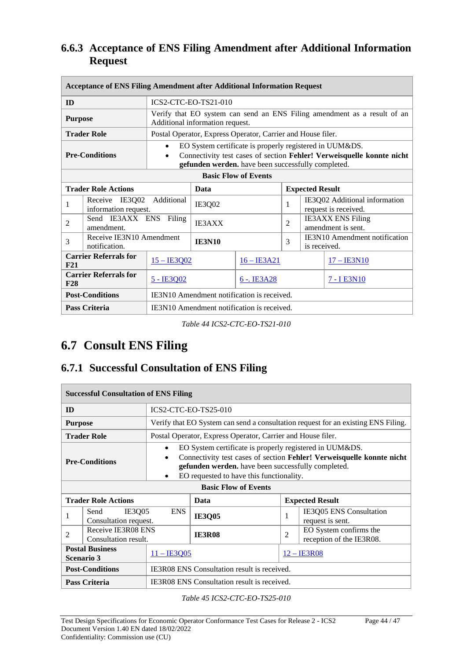#### **6.6.3 Acceptance of ENS Filing Amendment after Additional Information Request**

| <b>Acceptance of ENS Filing Amendment after Additional Information Request</b> |                                        |                                                                                                                                                                                                                  |                                            |                                                             |                        |                                                       |                                                                          |
|--------------------------------------------------------------------------------|----------------------------------------|------------------------------------------------------------------------------------------------------------------------------------------------------------------------------------------------------------------|--------------------------------------------|-------------------------------------------------------------|------------------------|-------------------------------------------------------|--------------------------------------------------------------------------|
| ID                                                                             |                                        |                                                                                                                                                                                                                  | ICS2-CTC-EO-TS21-010                       |                                                             |                        |                                                       |                                                                          |
| <b>Purpose</b>                                                                 |                                        |                                                                                                                                                                                                                  | Additional information request.            |                                                             |                        |                                                       | Verify that EO system can send an ENS Filing amendment as a result of an |
|                                                                                | <b>Trader Role</b>                     |                                                                                                                                                                                                                  |                                            | Postal Operator, Express Operator, Carrier and House filer. |                        |                                                       |                                                                          |
| <b>Pre-Conditions</b>                                                          |                                        | EO System certificate is properly registered in UUM&DS.<br>$\bullet$<br>Connectivity test cases of section Fehler! Verweisquelle konnte nicht<br>$\bullet$<br>gefunden werden. have been successfully completed. |                                            |                                                             |                        |                                                       |                                                                          |
| <b>Basic Flow of Events</b>                                                    |                                        |                                                                                                                                                                                                                  |                                            |                                                             |                        |                                                       |                                                                          |
| <b>Trader Role Actions</b>                                                     |                                        |                                                                                                                                                                                                                  | Data                                       |                                                             | <b>Expected Result</b> |                                                       |                                                                          |
| 1                                                                              | Receive IE3Q02<br>information request. | Additional                                                                                                                                                                                                       | IE3Q02                                     |                                                             | 1                      | IE3Q02 Additional information<br>request is received. |                                                                          |
| $\overline{2}$                                                                 | Send IE3AXX ENS<br>amendment.          | Filing                                                                                                                                                                                                           | <b>IE3AXX</b>                              |                                                             | $\overline{2}$         |                                                       | <b>IE3AXX ENS Filing</b><br>amendment is sent.                           |
| 3                                                                              | notification.                          | Receive IE3N10 Amendment<br><b>IE3N10</b>                                                                                                                                                                        |                                            |                                                             | 3                      | is received.                                          | IE3N10 Amendment notification                                            |
| <b>Carrier Referrals for</b><br>F21                                            |                                        | $15 - IB3Q02$                                                                                                                                                                                                    |                                            | $16 - IB3A21$                                               |                        |                                                       | $17 - IB3N10$                                                            |
| <b>Carrier Referrals for</b><br>F28                                            |                                        | <u>5 - IE3Q02</u>                                                                                                                                                                                                |                                            | <u>6 - IE3A28</u>                                           |                        |                                                       | <u>7 - I E3N10</u>                                                       |
| <b>Post-Conditions</b>                                                         |                                        |                                                                                                                                                                                                                  | IE3N10 Amendment notification is received. |                                                             |                        |                                                       |                                                                          |
| <b>Pass Criteria</b>                                                           |                                        |                                                                                                                                                                                                                  |                                            | IE3N10 Amendment notification is received.                  |                        |                                                       |                                                                          |

*Table 44 ICS2-CTC-EO-TS21-010*

# **6.7 Consult ENS Filing**

### **6.7.1 Successful Consultation of ENS Filing**

| <b>Successful Consultation of ENS Filing</b> |                                                |                                                                                                                                                                                                                                                              |                                                             |                |                                                                                   |  |  |
|----------------------------------------------|------------------------------------------------|--------------------------------------------------------------------------------------------------------------------------------------------------------------------------------------------------------------------------------------------------------------|-------------------------------------------------------------|----------------|-----------------------------------------------------------------------------------|--|--|
| ID                                           |                                                |                                                                                                                                                                                                                                                              | <b>ICS2-CTC-EO-TS25-010</b>                                 |                |                                                                                   |  |  |
| <b>Purpose</b>                               |                                                |                                                                                                                                                                                                                                                              |                                                             |                | Verify that EO System can send a consultation request for an existing ENS Filing. |  |  |
|                                              | <b>Trader Role</b>                             |                                                                                                                                                                                                                                                              | Postal Operator, Express Operator, Carrier and House filer. |                |                                                                                   |  |  |
| <b>Pre-Conditions</b>                        |                                                | EO System certificate is properly registered in UUM&DS.<br>$\bullet$<br>Connectivity test cases of section Fehler! Verweisquelle konnte nicht<br>gefunden werden. have been successfully completed.<br>EO requested to have this functionality.<br>$\bullet$ |                                                             |                |                                                                                   |  |  |
|                                              |                                                |                                                                                                                                                                                                                                                              | <b>Basic Flow of Events</b>                                 |                |                                                                                   |  |  |
|                                              | <b>Trader Role Actions</b>                     |                                                                                                                                                                                                                                                              | Data                                                        |                | <b>Expected Result</b>                                                            |  |  |
| 1                                            | <b>IE3005</b><br>Send<br>Consultation request. | <b>ENS</b>                                                                                                                                                                                                                                                   | <b>IE3005</b>                                               | 1              | IE3Q05 ENS Consultation<br>request is sent.                                       |  |  |
| $\overline{2}$                               | Receive IE3R08 ENS<br>Consultation result.     |                                                                                                                                                                                                                                                              | <b>IE3R08</b>                                               | $\overline{c}$ | EO System confirms the<br>reception of the IE3R08.                                |  |  |
| <b>Postal Business</b><br><b>Scenario 3</b>  |                                                |                                                                                                                                                                                                                                                              | $11 - \text{IE}3005$                                        |                | $12 - IE3R08$                                                                     |  |  |
| <b>Post-Conditions</b>                       |                                                |                                                                                                                                                                                                                                                              | IE3R08 ENS Consultation result is received.                 |                |                                                                                   |  |  |
| <b>Pass Criteria</b>                         |                                                |                                                                                                                                                                                                                                                              | <b>IE3R08 ENS</b> Consultation result is received.          |                |                                                                                   |  |  |

*Table 45 ICS2-CTC-EO-TS25-010*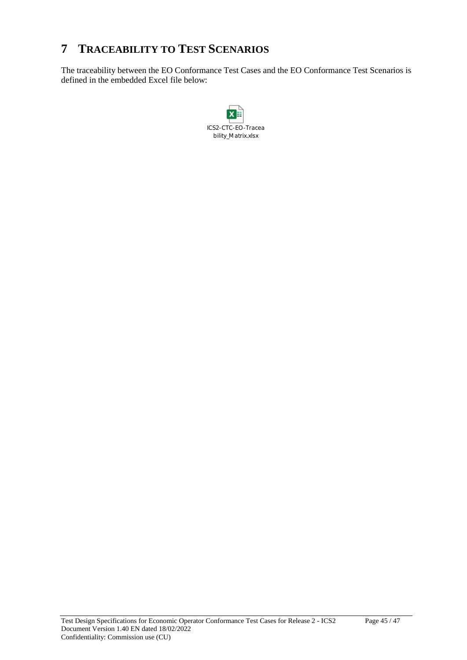# **7 TRACEABILITY TO TEST SCENARIOS**

The traceability between the EO Conformance Test Cases and the EO Conformance Test Scenarios is defined in the embedded Excel file below:

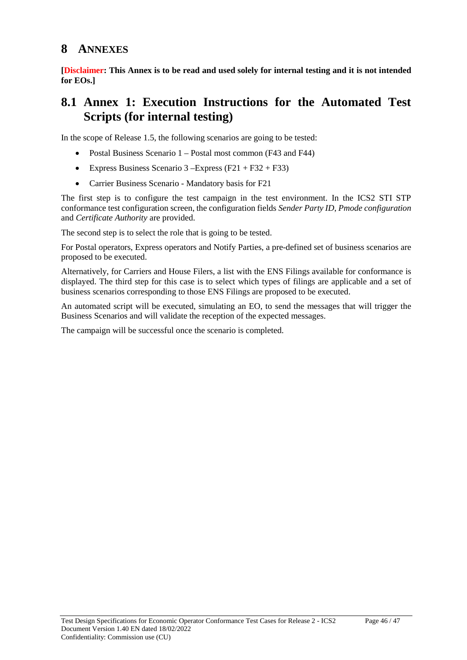### **8 ANNEXES**

**[Disclaimer: This Annex is to be read and used solely for internal testing and it is not intended for EOs.]**

### **8.1 Annex 1: Execution Instructions for the Automated Test Scripts (for internal testing)**

In the scope of Release 1.5, the following scenarios are going to be tested:

- Postal Business Scenario 1 Postal most common (F43 and F44)
- Express Business Scenario 3 Express  $(F21 + F32 + F33)$
- Carrier Business Scenario Mandatory basis for F21

The first step is to configure the test campaign in the test environment. In the ICS2 STI STP conformance test configuration screen, the configuration fields *Sender Party ID*, *Pmode configuration* and *Certificate Authority* are provided.

The second step is to select the role that is going to be tested.

For Postal operators, Express operators and Notify Parties, a pre-defined set of business scenarios are proposed to be executed.

Alternatively, for Carriers and House Filers, a list with the ENS Filings available for conformance is displayed. The third step for this case is to select which types of filings are applicable and a set of business scenarios corresponding to those ENS Filings are proposed to be executed.

An automated script will be executed, simulating an EO, to send the messages that will trigger the Business Scenarios and will validate the reception of the expected messages.

The campaign will be successful once the scenario is completed.